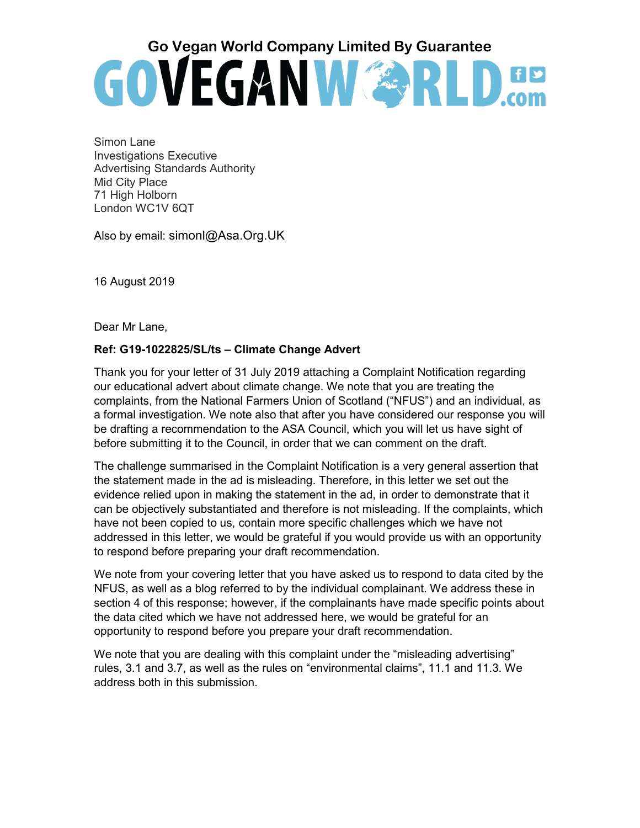# Go Vegan World Company Limited By Guarantee<br> **GO VEGAN WARES**

Simon Lane Investigations Executive Advertising Standards Authority Mid City Place 71 High Holborn London WC1V 6QT

Also by email: simonl@Asa.Org.UK

16 August 2019

Dear Mr Lane,

#### **Ref: G19-1022825/SL/ts – Climate Change Advert**

Thank you for your letter of 31 July 2019 attaching a Complaint Notification regarding our educational advert about climate change. We note that you are treating the complaints, from the National Farmers Union of Scotland ("NFUS") and an individual, as a formal investigation. We note also that after you have considered our response you will be drafting a recommendation to the ASA Council, which you will let us have sight of before submitting it to the Council, in order that we can comment on the draft.

The challenge summarised in the Complaint Notification is a very general assertion that the statement made in the ad is misleading. Therefore, in this letter we set out the evidence relied upon in making the statement in the ad, in order to demonstrate that it can be objectively substantiated and therefore is not misleading. If the complaints, which have not been copied to us, contain more specific challenges which we have not addressed in this letter, we would be grateful if you would provide us with an opportunity to respond before preparing your draft recommendation.

We note from your covering letter that you have asked us to respond to data cited by the NFUS, as well as a blog referred to by the individual complainant. We address these in section 4 of this response; however, if the complainants have made specific points about the data cited which we have not addressed here, we would be grateful for an opportunity to respond before you prepare your draft recommendation.

We note that you are dealing with this complaint under the "misleading advertising" rules, 3.1 and 3.7, as well as the rules on "environmental claims", 11.1 and 11.3. We address both in this submission.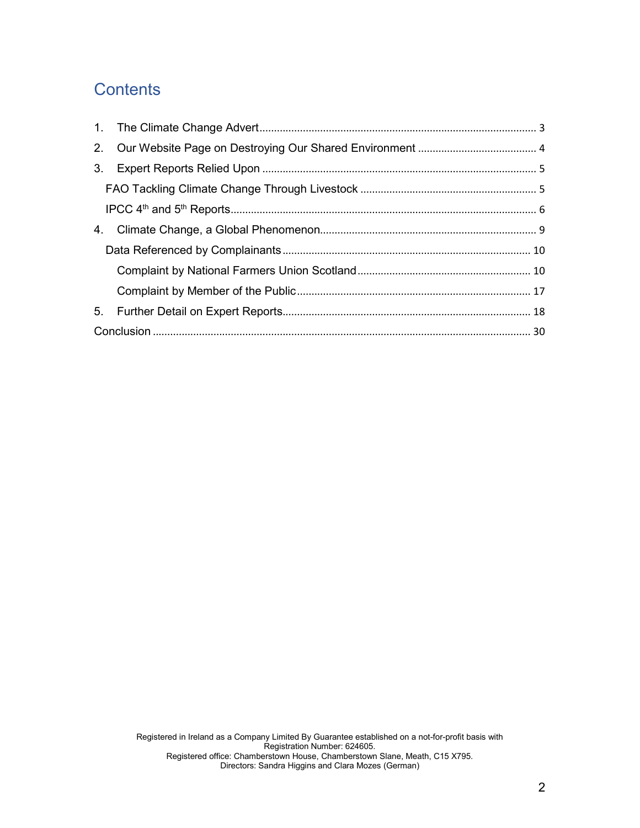## **Contents**

| 3. |  |  |
|----|--|--|
|    |  |  |
|    |  |  |
| 4. |  |  |
|    |  |  |
|    |  |  |
|    |  |  |
| 5. |  |  |
|    |  |  |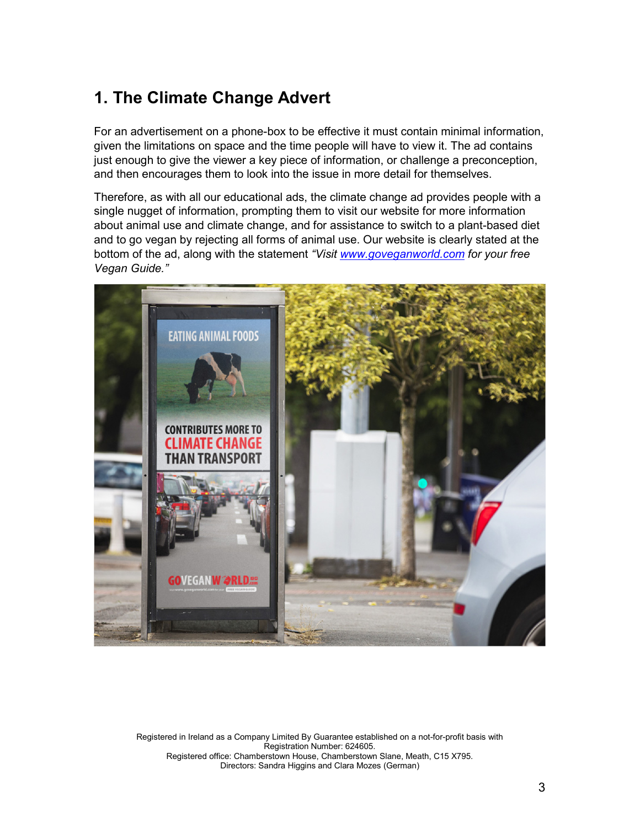# <span id="page-2-0"></span>**1. The Climate Change Advert**

For an advertisement on a phone-box to be effective it must contain minimal information, given the limitations on space and the time people will have to view it. The ad contains just enough to give the viewer a key piece of information, or challenge a preconception, and then encourages them to look into the issue in more detail for themselves.

Therefore, as with all our educational ads, the climate change ad provides people with a single nugget of information, prompting them to visit our website for more information about animal use and climate change, and for assistance to switch to a plant-based diet and to go vegan by rejecting all forms of animal use. Our website is clearly stated at the bottom of the ad, along with the statement *"Visit [www.goveganworld.com](http://www.goveganworld.com/) for your free Vegan Guide."*

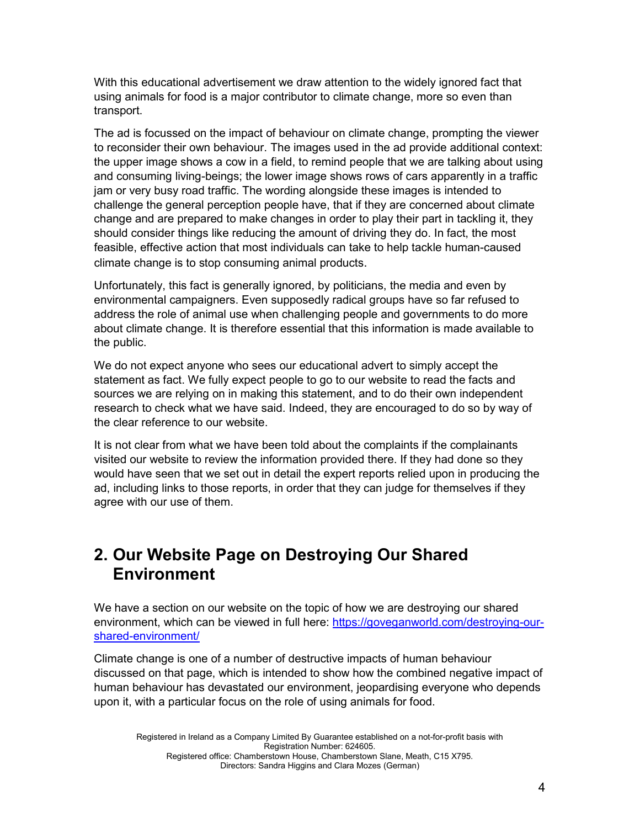With this educational advertisement we draw attention to the widely ignored fact that using animals for food is a major contributor to climate change, more so even than transport.

The ad is focussed on the impact of behaviour on climate change, prompting the viewer to reconsider their own behaviour. The images used in the ad provide additional context: the upper image shows a cow in a field, to remind people that we are talking about using and consuming living-beings; the lower image shows rows of cars apparently in a traffic jam or very busy road traffic. The wording alongside these images is intended to challenge the general perception people have, that if they are concerned about climate change and are prepared to make changes in order to play their part in tackling it, they should consider things like reducing the amount of driving they do. In fact, the most feasible, effective action that most individuals can take to help tackle human-caused climate change is to stop consuming animal products.

Unfortunately, this fact is generally ignored, by politicians, the media and even by environmental campaigners. Even supposedly radical groups have so far refused to address the role of animal use when challenging people and governments to do more about climate change. It is therefore essential that this information is made available to the public.

We do not expect anyone who sees our educational advert to simply accept the statement as fact. We fully expect people to go to our website to read the facts and sources we are relying on in making this statement, and to do their own independent research to check what we have said. Indeed, they are encouraged to do so by way of the clear reference to our website.

It is not clear from what we have been told about the complaints if the complainants visited our website to review the information provided there. If they had done so they would have seen that we set out in detail the expert reports relied upon in producing the ad, including links to those reports, in order that they can judge for themselves if they agree with our use of them.

## <span id="page-3-0"></span>**2. Our Website Page on Destroying Our Shared Environment**

We have a section on our website on the topic of how we are destroying our shared environment, which can be viewed in full here: [https://goveganworld.com/destroying-our](https://goveganworld.com/destroying-our-shared-environment/)[shared-environment/](https://goveganworld.com/destroying-our-shared-environment/)

Climate change is one of a number of destructive impacts of human behaviour discussed on that page, which is intended to show how the combined negative impact of human behaviour has devastated our environment, jeopardising everyone who depends upon it, with a particular focus on the role of using animals for food.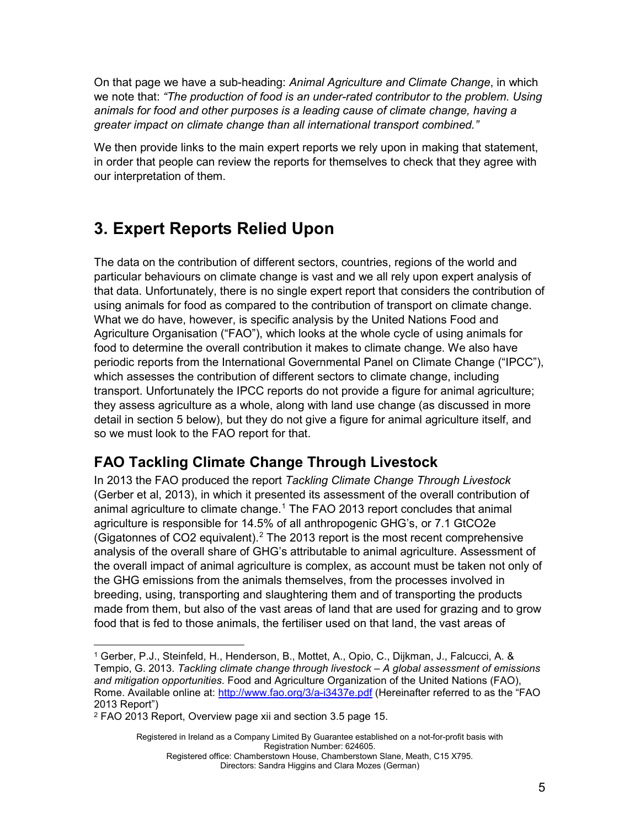On that page we have a sub-heading: *Animal Agriculture and Climate Change*, in which we note that: *"The production of food is an under-rated contributor to the problem. Using animals for food and other purposes is a leading cause of climate change, having a greater impact on climate change than all international transport combined."*

We then provide links to the main expert reports we rely upon in making that statement, in order that people can review the reports for themselves to check that they agree with our interpretation of them.

# <span id="page-4-0"></span>**3. Expert Reports Relied Upon**

The data on the contribution of different sectors, countries, regions of the world and particular behaviours on climate change is vast and we all rely upon expert analysis of that data. Unfortunately, there is no single expert report that considers the contribution of using animals for food as compared to the contribution of transport on climate change. What we do have, however, is specific analysis by the United Nations Food and Agriculture Organisation ("FAO"), which looks at the whole cycle of using animals for food to determine the overall contribution it makes to climate change. We also have periodic reports from the International Governmental Panel on Climate Change ("IPCC"), which assesses the contribution of different sectors to climate change, including transport. Unfortunately the IPCC reports do not provide a figure for animal agriculture; they assess agriculture as a whole, along with land use change (as discussed in more detail in section 5 below), but they do not give a figure for animal agriculture itself, and so we must look to the FAO report for that.

## <span id="page-4-1"></span>**FAO Tackling Climate Change Through Livestock**

In 2013 the FAO produced the report *Tackling Climate Change Through Livestock* (Gerber et al, 2013), in which it presented its assessment of the overall contribution of animal agriculture to climate change.<sup>[1](#page-4-2)</sup> The FAO 2013 report concludes that animal agriculture is responsible for 14.5% of all anthropogenic GHG's, or 7.1 GtCO2e (Gigatonnes of CO2 equivalent). [2](#page-4-3) The 2013 report is the most recent comprehensive analysis of the overall share of GHG's attributable to animal agriculture. Assessment of the overall impact of animal agriculture is complex, as account must be taken not only of the GHG emissions from the animals themselves, from the processes involved in breeding, using, transporting and slaughtering them and of transporting the products made from them, but also of the vast areas of land that are used for grazing and to grow food that is fed to those animals, the fertiliser used on that land, the vast areas of

Registered in Ireland as a Company Limited By Guarantee established on a not-for-profit basis with Registration Number: 624605.

<span id="page-4-2"></span><sup>1</sup> Gerber, P.J., Steinfeld, H., Henderson, B., Mottet, A., Opio, C., Dijkman, J., Falcucci, A. & Tempio, G. 2013. *Tackling climate change through livestock – A global assessment of emissions and mitigation opportunities.* Food and Agriculture Organization of the United Nations (FAO), Rome. Available online at:<http://www.fao.org/3/a-i3437e.pdf> (Hereinafter referred to as the "FAO 2013 Report")

<span id="page-4-3"></span><sup>2</sup> FAO 2013 Report, Overview page xii and section 3.5 page 15.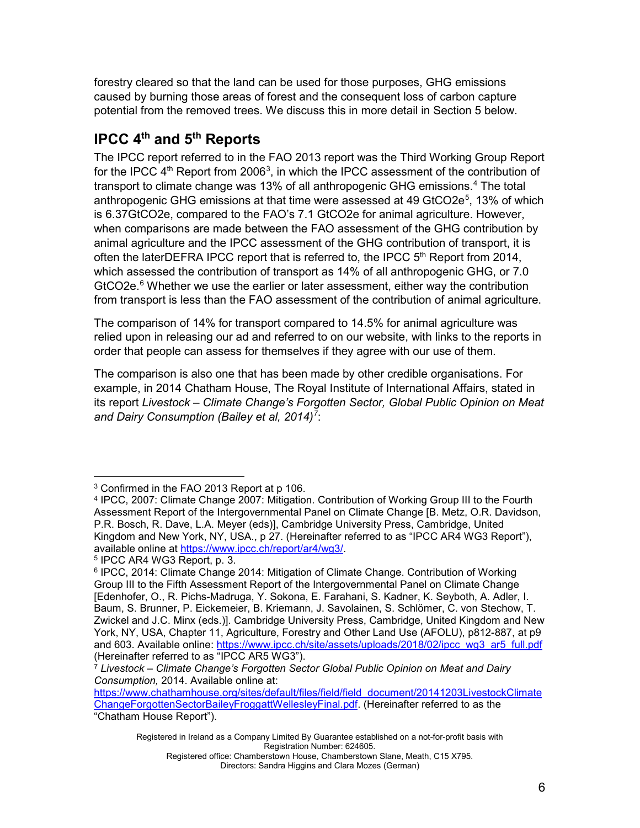forestry cleared so that the land can be used for those purposes, GHG emissions caused by burning those areas of forest and the consequent loss of carbon capture potential from the removed trees. We discuss this in more detail in Section 5 below.

## <span id="page-5-0"></span>**IPCC 4th and 5th Reports**

The IPCC report referred to in the FAO 2013 report was the Third Working Group Report for the IPCC  $4<sup>th</sup>$  Report from 2006<sup>[3](#page-5-1)</sup>, in which the IPCC assessment of the contribution of transport to climate change was 13% of all anthropogenic GHG emissions.[4](#page-5-2) The total anthropogenic GHG emissions at that time were assessed at 49 GtCO2e<sup>[5](#page-5-3)</sup>, 13% of which is 6.37GtCO2e, compared to the FAO's 7.1 GtCO2e for animal agriculture. However, when comparisons are made between the FAO assessment of the GHG contribution by animal agriculture and the IPCC assessment of the GHG contribution of transport, it is often the laterDEFRA IPCC report that is referred to, the IPCC  $5<sup>th</sup>$  Report from 2014, which assessed the contribution of transport as 14% of all anthropogenic GHG, or 7.0 GtCO2e.<sup>[6](#page-5-4)</sup> Whether we use the earlier or later assessment, either way the contribution from transport is less than the FAO assessment of the contribution of animal agriculture.

The comparison of 14% for transport compared to 14.5% for animal agriculture was relied upon in releasing our ad and referred to on our website, with links to the reports in order that people can assess for themselves if they agree with our use of them.

The comparison is also one that has been made by other credible organisations. For example, in 2014 Chatham House, The Royal Institute of International Affairs, stated in its report *Livestock – Climate Change's Forgotten Sector, Global Public Opinion on Meat and Dairy Consumption (Bailey et al, 2014)[7](#page-5-5)* :

<span id="page-5-1"></span><sup>&</sup>lt;sup>3</sup> Confirmed in the FAO 2013 Report at p 106.

<span id="page-5-2"></span><sup>4</sup> IPCC, 2007: Climate Change 2007: Mitigation. Contribution of Working Group III to the Fourth Assessment Report of the Intergovernmental Panel on Climate Change [B. Metz, O.R. Davidson, P.R. Bosch, R. Dave, L.A. Meyer (eds)], Cambridge University Press, Cambridge, United Kingdom and New York, NY, USA., p 27. (Hereinafter referred to as "IPCC AR4 WG3 Report"), available online at [https://www.ipcc.ch/report/ar4/wg3/.](https://www.ipcc.ch/report/ar4/wg3/)

<span id="page-5-3"></span><sup>5</sup> IPCC AR4 WG3 Report, p. 3.

<span id="page-5-4"></span><sup>6</sup> IPCC, 2014: Climate Change 2014: Mitigation of Climate Change. Contribution of Working Group III to the Fifth Assessment Report of the Intergovernmental Panel on Climate Change [Edenhofer, O., R. Pichs-Madruga, Y. Sokona, E. Farahani, S. Kadner, K. Seyboth, A. Adler, I. Baum, S. Brunner, P. Eickemeier, B. Kriemann, J. Savolainen, S. Schlömer, C. von Stechow, T. Zwickel and J.C. Minx (eds.)]. Cambridge University Press, Cambridge, United Kingdom and New York, NY, USA, Chapter 11, Agriculture, Forestry and Other Land Use (AFOLU), p812-887, at p9 and 603. Available online: [https://www.ipcc.ch/site/assets/uploads/2018/02/ipcc\\_wg3\\_ar5\\_full.pdf](https://www.ipcc.ch/site/assets/uploads/2018/02/ipcc_wg3_ar5_full.pdf) (Hereinafter referred to as "IPCC AR5 WG3").

<span id="page-5-5"></span><sup>7</sup> *Livestock – Climate Change's Forgotten Sector Global Public Opinion on Meat and Dairy Consumption,* 2014. Available online at:

[https://www.chathamhouse.org/sites/default/files/field/field\\_document/20141203LivestockClimate](https://www.chathamhouse.org/sites/default/files/field/field_document/20141203LivestockClimateChangeForgottenSectorBaileyFroggattWellesleyFinal.pdf) [ChangeForgottenSectorBaileyFroggattWellesleyFinal.pdf.](https://www.chathamhouse.org/sites/default/files/field/field_document/20141203LivestockClimateChangeForgottenSectorBaileyFroggattWellesleyFinal.pdf) (Hereinafter referred to as the "Chatham House Report").

Registered in Ireland as a Company Limited By Guarantee established on a not-for-profit basis with Registration Number: 624605.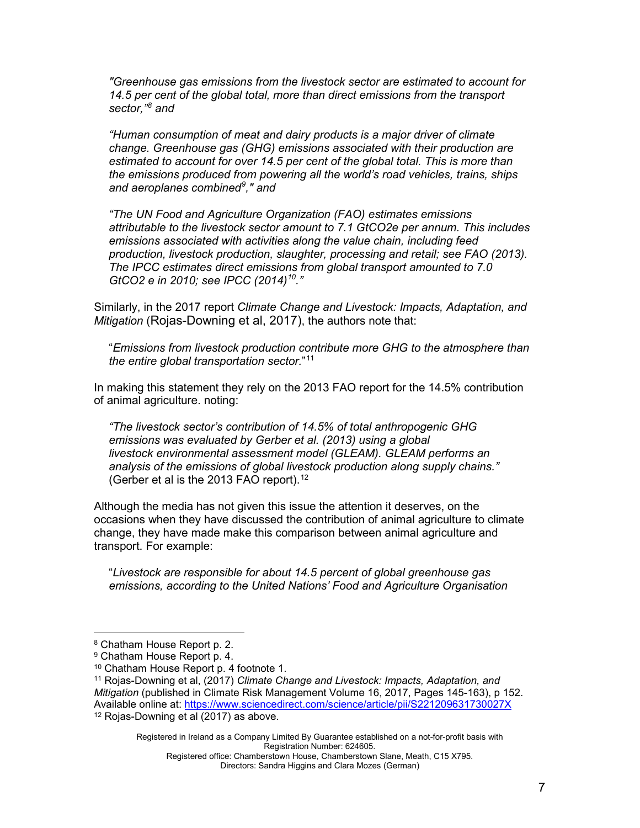*"Greenhouse gas emissions from the livestock sector are estimated to account for 14.5 per cent of the global total, more than direct emissions from the transport sector," [8](#page-6-0) and*

*"Human consumption of meat and dairy products is a major driver of climate change. Greenhouse gas (GHG) emissions associated with their production are estimated to account for over 14.5 per cent of the global total. This is more than the emissions produced from powering all the world's road vehicles, trains, ships and aeroplanes combined[9](#page-6-1) ," and* 

*"The UN Food and Agriculture Organization (FAO) estimates emissions attributable to the livestock sector amount to 7.1 GtCO2e per annum. This includes emissions associated with activities along the value chain, including feed production, livestock production, slaughter, processing and retail; see FAO (2013). The IPCC estimates direct emissions from global transport amounted to 7.0 GtCO2 e in 2010; see IPCC (2014)[10.](#page-6-2)"*

Similarly, in the 2017 report *Climate Change and Livestock: Impacts, Adaptation, and Mitigation* (Rojas-Downing et al, 2017), the authors note that:

"*Emissions from livestock production contribute more GHG to the [atmosphere](https://www.sciencedirect.com/topics/social-sciences/atmosphere) than the entire global transportation sector.*"[11](#page-6-3)

In making this statement they rely on the 2013 FAO report for the 14.5% contribution of animal agriculture. noting:

*"The livestock sector's contribution of 14.5% of total anthropogenic GHG emissions was evaluated by [Gerber et al. \(2013\)](https://www.sciencedirect.com/science/article/pii/S221209631730027X#b0250) using a global livestock [environmental](https://www.sciencedirect.com/topics/earth-and-planetary-sciences/environmental-assessment) assessment model (GLEAM). GLEAM performs an analysis of the emissions of global livestock production along supply chains."* (Gerber et al is the 2013 FAO report).<sup>[12](#page-6-4)</sup>

Although the media has not given this issue the attention it deserves, on the occasions when they have discussed the contribution of animal agriculture to climate change, they have made make this comparison between animal agriculture and transport. For example:

"*Livestock are responsible for about 14.5 percent of global greenhouse gas emissions, according to the United Nations' Food and Agriculture Organisation* 

Registered in Ireland as a Company Limited By Guarantee established on a not-for-profit basis with Registration Number: 624605.

<span id="page-6-0"></span><sup>8</sup> Chatham House Report p. 2.

<span id="page-6-2"></span><span id="page-6-1"></span><sup>9</sup> Chatham House Report p. 4.

<sup>10</sup> Chatham House Report p. 4 footnote 1.

<span id="page-6-4"></span><span id="page-6-3"></span><sup>11</sup> Rojas-Downing et al, (2017) *Climate Change and Livestock: Impacts, Adaptation, and Mitigation* (published in [Climate Risk Management](https://www.sciencedirect.com/science/journal/22120963) [Volume 16,](https://www.sciencedirect.com/science/journal/22120963/16/supp/C) 2017, Pages 145-163), p 152. Available online at:<https://www.sciencedirect.com/science/article/pii/S221209631730027X> <sup>12</sup> Rojas-Downing et al (2017) as above.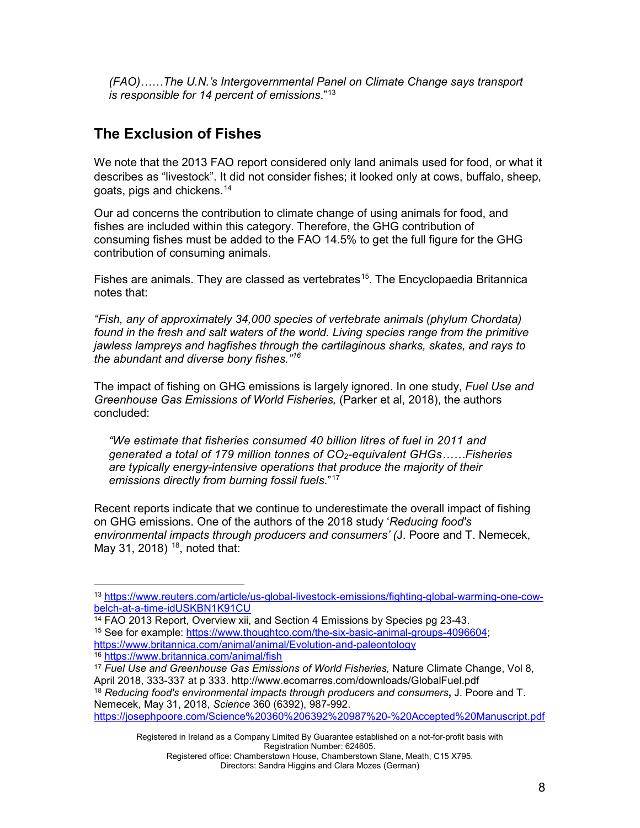*(FAO)……The U.N.'s Intergovernmental Panel on Climate Change says transport is responsible for 14 percent of emissions*."[13](#page-7-0)

## **The Exclusion of Fishes**

We note that the 2013 FAO report considered only land animals used for food, or what it describes as "livestock". It did not consider fishes; it looked only at cows, buffalo, sheep, goats, pigs and chickens.[14](#page-7-1)

Our ad concerns the contribution to climate change of using animals for food, and fishes are included within this category. Therefore, the GHG contribution of consuming fishes must be added to the FAO 14.5% to get the full figure for the GHG contribution of consuming animals.

Fishes are animals. They are classed as vertebrates<sup>[15](#page-7-2)</sup>. The Encyclopaedia Britannica notes that:

*"Fish, any of approximately 34,000 [species](https://www.britannica.com/science/species-taxon) of [vertebrate](https://www.britannica.com/animal/vertebrate) [animals](https://www.britannica.com/animal/animal) (phylum [Chordata\)](https://www.britannica.com/animal/chordate) found in the fresh and salt waters of the world. Living species range from the primitive jawless [lampreys](https://www.britannica.com/animal/lamprey) and [hagfishes](https://www.britannica.com/animal/hagfish) through the cartilaginous [sharks,](https://www.britannica.com/animal/shark) [skates,](https://www.britannica.com/animal/skate-fish) and [rays](https://www.britannica.com/animal/ray-fish) to the abundant and [diverse](https://www.merriam-webster.com/dictionary/diverse) [bony fishes.](https://www.britannica.com/animal/bony-fish)" [16](#page-7-3)*

The impact of fishing on GHG emissions is largely ignored. In one study, *Fuel Use and Greenhouse Gas Emissions of World Fisheries,* (Parker et al, 2018), the authors concluded:

*"We estimate that fisheries consumed 40 billion litres of fuel in 2011 and generated a total of 179 million tonnes of CO2-equivalent GHGs……Fisheries are typically energy-intensive operations that produce the majority of their emissions directly from burning fossil fuels*."[17](#page-7-4)

Recent reports indicate that we continue to underestimate the overall impact of fishing on GHG emissions. One of the authors of the 2018 study '*Reducing food's environmental impacts through producers and consumers' (*J. Poore and T. Nemecek, May 31, 2018)  $18$ , noted that:

<span id="page-7-3"></span><sup>16</sup> <https://www.britannica.com/animal/fish>

<span id="page-7-0"></span><sup>13</sup> [https://www.reuters.com/article/us-global-livestock-emissions/fighting-global-warming-one-cow](https://www.reuters.com/article/us-global-livestock-emissions/fighting-global-warming-one-cow-belch-at-a-time-idUSKBN1K91CU)[belch-at-a-time-idUSKBN1K91CU](https://www.reuters.com/article/us-global-livestock-emissions/fighting-global-warming-one-cow-belch-at-a-time-idUSKBN1K91CU)<br><sup>14</sup> FAO 2013 Report, Overview xii, and Section 4 Emissions by Species pg 23-43.

<span id="page-7-2"></span><span id="page-7-1"></span><sup>&</sup>lt;sup>15</sup> See for example: [https://www.thoughtco.com/the-six-basic-animal-groups-4096604;](https://www.thoughtco.com/the-six-basic-animal-groups-4096604) <https://www.britannica.com/animal/animal/Evolution-and-paleontology>

<span id="page-7-5"></span><span id="page-7-4"></span><sup>17</sup> *Fuel Use and Greenhouse Gas Emissions of World Fisheries,* Nature Climate Change, Vol 8, April 2018, 333-337 at p 333. http://www.ecomarres.com/downloads/GlobalFuel.pdf <sup>18</sup> *Reducing food's environmental impacts through producers and consumers***,** J. Poore and T. Nemecek, May 31, 2018, *Science* 360 (6392), 987-992. <https://josephpoore.com/Science%20360%206392%20987%20-%20Accepted%20Manuscript.pdf>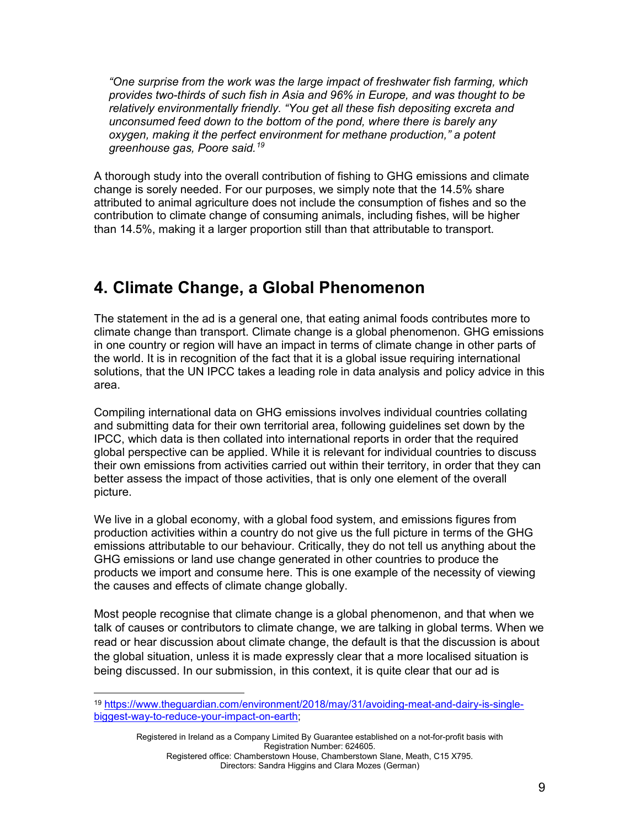*"One surprise from the work was the large impact of freshwater fish farming, which provides two-thirds of such fish in Asia and 96% in Europe, and was thought to be relatively environmentally friendly. "You get all these fish depositing excreta and unconsumed feed down to the bottom of the pond, where there is barely any oxygen, making it the perfect environment for methane production," a potent greenhouse gas, Poore said. [19](#page-8-1)*

A thorough study into the overall contribution of fishing to GHG emissions and climate change is sorely needed. For our purposes, we simply note that the 14.5% share attributed to animal agriculture does not include the consumption of fishes and so the contribution to climate change of consuming animals, including fishes, will be higher than 14.5%, making it a larger proportion still than that attributable to transport.

## <span id="page-8-0"></span>**4. Climate Change, a Global Phenomenon**

The statement in the ad is a general one, that eating animal foods contributes more to climate change than transport. Climate change is a global phenomenon. GHG emissions in one country or region will have an impact in terms of climate change in other parts of the world. It is in recognition of the fact that it is a global issue requiring international solutions, that the UN IPCC takes a leading role in data analysis and policy advice in this area.

Compiling international data on GHG emissions involves individual countries collating and submitting data for their own territorial area, following guidelines set down by the IPCC, which data is then collated into international reports in order that the required global perspective can be applied. While it is relevant for individual countries to discuss their own emissions from activities carried out within their territory, in order that they can better assess the impact of those activities, that is only one element of the overall picture.

We live in a global economy, with a global food system, and emissions figures from production activities within a country do not give us the full picture in terms of the GHG emissions attributable to our behaviour. Critically, they do not tell us anything about the GHG emissions or land use change generated in other countries to produce the products we import and consume here. This is one example of the necessity of viewing the causes and effects of climate change globally.

Most people recognise that climate change is a global phenomenon, and that when we talk of causes or contributors to climate change, we are talking in global terms. When we read or hear discussion about climate change, the default is that the discussion is about the global situation, unless it is made expressly clear that a more localised situation is being discussed. In our submission, in this context, it is quite clear that our ad is

<span id="page-8-1"></span><sup>19</sup> [https://www.theguardian.com/environment/2018/may/31/avoiding-meat-and-dairy-is-single](https://www.theguardian.com/environment/2018/may/31/avoiding-meat-and-dairy-is-single-biggest-way-to-reduce-your-impact-on-earth)[biggest-way-to-reduce-your-impact-on-earth;](https://www.theguardian.com/environment/2018/may/31/avoiding-meat-and-dairy-is-single-biggest-way-to-reduce-your-impact-on-earth)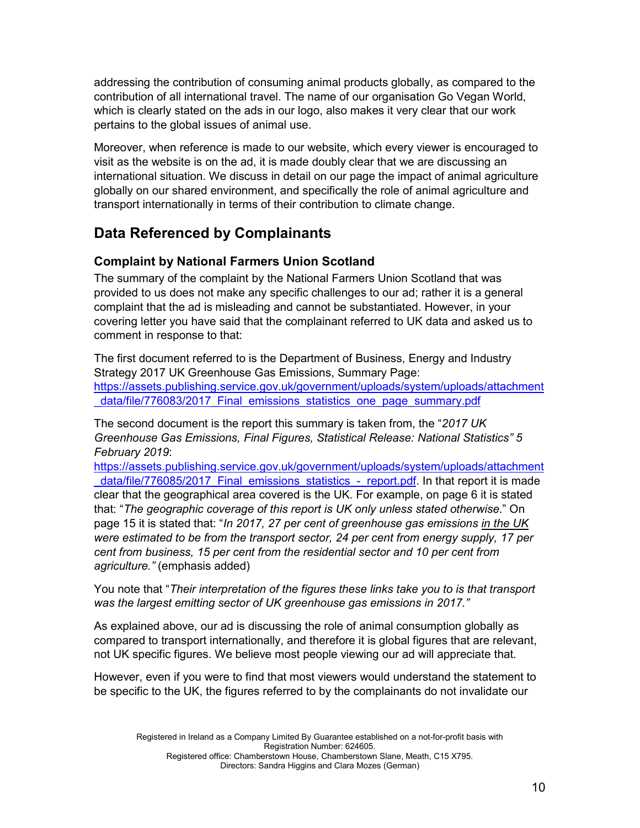addressing the contribution of consuming animal products globally, as compared to the contribution of all international travel. The name of our organisation Go Vegan World, which is clearly stated on the ads in our logo, also makes it very clear that our work pertains to the global issues of animal use.

Moreover, when reference is made to our website, which every viewer is encouraged to visit as the website is on the ad, it is made doubly clear that we are discussing an international situation. We discuss in detail on our page the impact of animal agriculture globally on our shared environment, and specifically the role of animal agriculture and transport internationally in terms of their contribution to climate change.

## <span id="page-9-0"></span>**Data Referenced by Complainants**

#### <span id="page-9-1"></span>**Complaint by National Farmers Union Scotland**

The summary of the complaint by the National Farmers Union Scotland that was provided to us does not make any specific challenges to our ad; rather it is a general complaint that the ad is misleading and cannot be substantiated. However, in your covering letter you have said that the complainant referred to UK data and asked us to comment in response to that:

The first document referred to is the Department of Business, Energy and Industry Strategy 2017 UK Greenhouse Gas Emissions, Summary Page: [https://assets.publishing.service.gov.uk/government/uploads/system/uploads/attachment](https://assets.publishing.service.gov.uk/government/uploads/system/uploads/attachment_data/file/776083/2017_Final_emissions_statistics_one_page_summary.pdf) [\\_data/file/776083/2017\\_Final\\_emissions\\_statistics\\_one\\_page\\_summary.pdf](https://assets.publishing.service.gov.uk/government/uploads/system/uploads/attachment_data/file/776083/2017_Final_emissions_statistics_one_page_summary.pdf)

The second document is the report this summary is taken from, the "*2017 UK Greenhouse Gas Emissions, Final Figures, Statistical Release: National Statistics" 5 February 2019*:

[https://assets.publishing.service.gov.uk/government/uploads/system/uploads/attachment](https://assets.publishing.service.gov.uk/government/uploads/system/uploads/attachment_data/file/776085/2017_Final_emissions_statistics_-_report.pdf) data/file/776085/2017 Final emissions statistics - report.pdf. In that report it is made clear that the geographical area covered is the UK. For example, on page 6 it is stated that: "*The geographic coverage of this report is UK only unless stated otherwise*." On page 15 it is stated that: "*In 2017, 27 per cent of greenhouse gas emissions in the UK were estimated to be from the transport sector, 24 per cent from energy supply, 17 per cent from business, 15 per cent from the residential sector and 10 per cent from agriculture."* (emphasis added)

You note that "*Their interpretation of the figures these links take you to is that transport was the largest emitting sector of UK greenhouse gas emissions in 2017."*

As explained above, our ad is discussing the role of animal consumption globally as compared to transport internationally, and therefore it is global figures that are relevant, not UK specific figures. We believe most people viewing our ad will appreciate that.

However, even if you were to find that most viewers would understand the statement to be specific to the UK, the figures referred to by the complainants do not invalidate our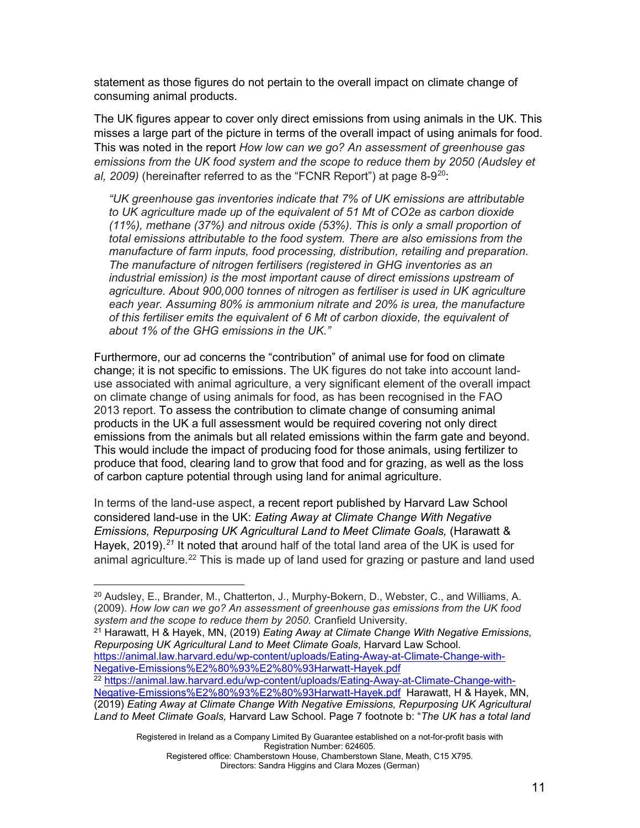statement as those figures do not pertain to the overall impact on climate change of consuming animal products.

The UK figures appear to cover only direct emissions from using animals in the UK. This misses a large part of the picture in terms of the overall impact of using animals for food. This was noted in the report *How low can we go? An assessment of greenhouse gas emissions from the UK food system and the scope to reduce them by 2050 (Audsley et*  al, [20](#page-10-0)09) (hereinafter referred to as the "FCNR Report") at page 8-9<sup>20</sup>:

*"UK greenhouse gas inventories indicate that 7% of UK emissions are attributable to UK agriculture made up of the equivalent of 51 Mt of CO2e as carbon dioxide (11%), methane (37%) and nitrous oxide (53%). This is only a small proportion of total emissions attributable to the food system. There are also emissions from the manufacture of farm inputs, food processing, distribution, retailing and preparation. The manufacture of nitrogen fertilisers (registered in GHG inventories as an industrial emission) is the most important cause of direct emissions upstream of agriculture. About 900,000 tonnes of nitrogen as fertiliser is used in UK agriculture each year. Assuming 80% is ammonium nitrate and 20% is urea, the manufacture of this fertiliser emits the equivalent of 6 Mt of carbon dioxide, the equivalent of about 1% of the GHG emissions in the UK."*

Furthermore, our ad concerns the "contribution" of animal use for food on climate change; it is not specific to emissions. The UK figures do not take into account landuse associated with animal agriculture, a very significant element of the overall impact on climate change of using animals for food, as has been recognised in the FAO 2013 report. To assess the contribution to climate change of consuming animal products in the UK a full assessment would be required covering not only direct emissions from the animals but all related emissions within the farm gate and beyond. This would include the impact of producing food for those animals, using fertilizer to produce that food, clearing land to grow that food and for grazing, as well as the loss of carbon capture potential through using land for animal agriculture.

In terms of the land-use aspect, a recent report published by Harvard Law School considered land-use in the UK: *Eating Away at Climate Change With Negative Emissions, Repurposing UK Agricultural Land to Meet Climate Goals,* (Harawatt & Hayek, 2019).<sup>[21](#page-10-1)</sup> It noted that around half of the total land area of the UK is used for animal agriculture.<sup>[22](#page-10-2)</sup> This is made up of land used for grazing or pasture and land used

<span id="page-10-1"></span><sup>21</sup> Harawatt, H & Hayek, MN, (2019) *Eating Away at Climate Change With Negative Emissions, Repurposing UK Agricultural Land to Meet Climate Goals,* Harvard Law School. [https://animal.law.harvard.edu/wp-content/uploads/Eating-Away-at-Climate-Change-with-](https://animal.law.harvard.edu/wp-content/uploads/Eating-Away-at-Climate-Change-with-Negative-Emissions%E2%80%93%E2%80%93Harwatt-Hayek.pdf)[Negative-Emissions%E2%80%93%E2%80%93Harwatt-Hayek.pdf](https://animal.law.harvard.edu/wp-content/uploads/Eating-Away-at-Climate-Change-with-Negative-Emissions%E2%80%93%E2%80%93Harwatt-Hayek.pdf)

Registered in Ireland as a Company Limited By Guarantee established on a not-for-profit basis with Registration Number: 624605. Registered office: Chamberstown House, Chamberstown Slane, Meath, C15 X795.

Directors: Sandra Higgins and Clara Mozes (German)

<span id="page-10-0"></span><sup>20</sup> Audsley, E., Brander, M., Chatterton, J., Murphy-Bokern, D., Webster, C., and Williams, A. (2009). *How low can we go? An assessment of greenhouse gas emissions from the UK food system and the scope to reduce them by 2050.* Cranfield University.

<span id="page-10-2"></span><sup>22</sup> [https://animal.law.harvard.edu/wp-content/uploads/Eating-Away-at-Climate-Change-with-](https://animal.law.harvard.edu/wp-content/uploads/Eating-Away-at-Climate-Change-with-Negative-Emissions%E2%80%93%E2%80%93Harwatt-Hayek.pdf)[Negative-Emissions%E2%80%93%E2%80%93Harwatt-Hayek.pdf](https://animal.law.harvard.edu/wp-content/uploads/Eating-Away-at-Climate-Change-with-Negative-Emissions%E2%80%93%E2%80%93Harwatt-Hayek.pdf) Harawatt, H & Hayek, MN, (2019) *Eating Away at Climate Change With Negative Emissions, Repurposing UK Agricultural Land to Meet Climate Goals,* Harvard Law School. Page 7 footnote b: "*The UK has a total land*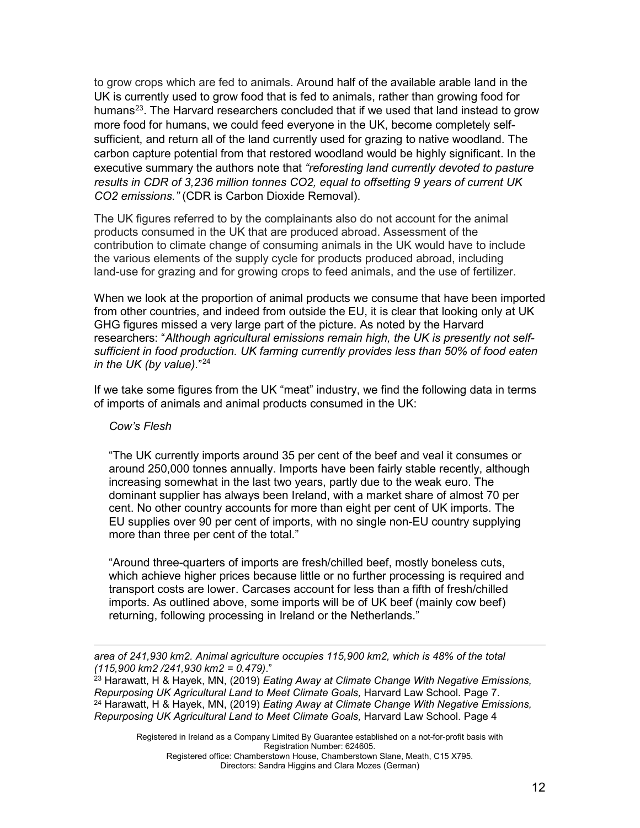to grow crops which are fed to animals. Around half of the available arable land in the UK is currently used to grow food that is fed to animals, rather than growing food for humans<sup>[23](#page-11-0)</sup>. The Harvard researchers concluded that if we used that land instead to grow more food for humans, we could feed everyone in the UK, become completely selfsufficient, and return all of the land currently used for grazing to native woodland. The carbon capture potential from that restored woodland would be highly significant. In the executive summary the authors note that *"reforesting land currently devoted to pasture results in CDR of 3,236 million tonnes CO2, equal to offsetting 9 years of current UK CO2 emissions."* (CDR is Carbon Dioxide Removal).

The UK figures referred to by the complainants also do not account for the animal products consumed in the UK that are produced abroad. Assessment of the contribution to climate change of consuming animals in the UK would have to include the various elements of the supply cycle for products produced abroad, including land-use for grazing and for growing crops to feed animals, and the use of fertilizer.

When we look at the proportion of animal products we consume that have been imported from other countries, and indeed from outside the EU, it is clear that looking only at UK GHG figures missed a very large part of the picture. As noted by the Harvard researchers: "*Although agricultural emissions remain high, the UK is presently not selfsufficient in food production. UK farming currently provides less than 50% of food eaten in the UK (by value).*"[24](#page-11-1)

If we take some figures from the UK "meat" industry, we find the following data in terms of imports of animals and animal products consumed in the UK:

#### *Cow's Flesh*

"The UK currently imports around 35 per cent of the beef and veal it consumes or around 250,000 tonnes annually. Imports have been fairly stable recently, although increasing somewhat in the last two years, partly due to the weak euro. The dominant supplier has always been Ireland, with a market share of almost 70 per cent. No other country accounts for more than eight per cent of UK imports. The EU supplies over 90 per cent of imports, with no single non-EU country supplying more than three per cent of the total."

"Around three-quarters of imports are fresh/chilled beef, mostly boneless cuts, which achieve higher prices because little or no further processing is required and transport costs are lower. Carcases account for less than a fifth of fresh/chilled imports. As outlined above, some imports will be of UK beef (mainly cow beef) returning, following processing in Ireland or the Netherlands."

<span id="page-11-1"></span><span id="page-11-0"></span><sup>23</sup> Harawatt, H & Hayek, MN, (2019) *Eating Away at Climate Change With Negative Emissions, Repurposing UK Agricultural Land to Meet Climate Goals,* Harvard Law School. Page 7. <sup>24</sup> Harawatt, H & Hayek, MN, (2019) *Eating Away at Climate Change With Negative Emissions, Repurposing UK Agricultural Land to Meet Climate Goals,* Harvard Law School. Page 4

*area of 241,930 km2. Animal agriculture occupies 115,900 km2, which is 48% of the total (115,900 km2 /241,930 km2 = 0.479)*."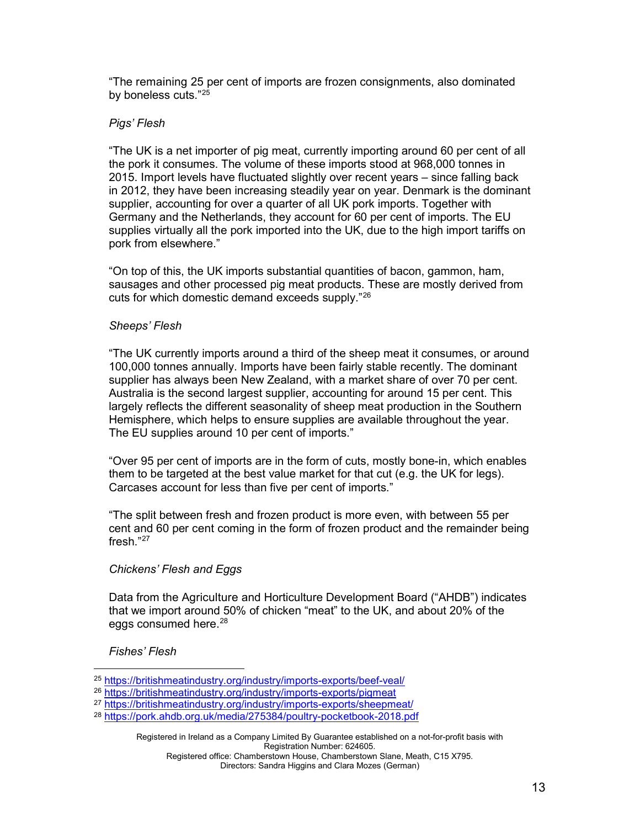"The remaining 25 per cent of imports are frozen consignments, also dominated by boneless cuts."[25](#page-12-0)

#### *Pigs' Flesh*

"The UK is a net importer of pig meat, currently importing around 60 per cent of all the pork it consumes. The volume of these imports stood at 968,000 tonnes in 2015. Import levels have fluctuated slightly over recent years – since falling back in 2012, they have been increasing steadily year on year. Denmark is the dominant supplier, accounting for over a quarter of all UK pork imports. Together with Germany and the Netherlands, they account for 60 per cent of imports. The EU supplies virtually all the pork imported into the UK, due to the high import tariffs on pork from elsewhere."

"On top of this, the UK imports substantial quantities of bacon, gammon, ham, sausages and other processed pig meat products. These are mostly derived from cuts for which domestic demand exceeds supply."[26](#page-12-1)

#### *Sheeps' Flesh*

"The UK currently imports around a third of the sheep meat it consumes, or around 100,000 tonnes annually. Imports have been fairly stable recently. The dominant supplier has always been New Zealand, with a market share of over 70 per cent. Australia is the second largest supplier, accounting for around 15 per cent. This largely reflects the different seasonality of sheep meat production in the Southern Hemisphere, which helps to ensure supplies are available throughout the year. The EU supplies around 10 per cent of imports."

"Over 95 per cent of imports are in the form of cuts, mostly bone-in, which enables them to be targeted at the best value market for that cut (e.g. the UK for legs). Carcases account for less than five per cent of imports."

"The split between fresh and frozen product is more even, with between 55 per cent and 60 per cent coming in the form of frozen product and the remainder being fresh."[27](#page-12-2)

#### *Chickens' Flesh and Eggs*

Data from the Agriculture and Horticulture Development Board ("AHDB") indicates that we import around 50% of chicken "meat" to the UK, and about 20% of the eggs consumed here.<sup>28</sup>

#### *Fishes' Flesh*

Registered in Ireland as a Company Limited By Guarantee established on a not-for-profit basis with Registration Number: 624605.

<span id="page-12-0"></span><sup>25</sup> <https://britishmeatindustry.org/industry/imports-exports/beef-veal/>

<span id="page-12-1"></span><sup>26</sup> <https://britishmeatindustry.org/industry/imports-exports/pigmeat>

<span id="page-12-2"></span><sup>&</sup>lt;sup>27</sup> <https://britishmeatindustry.org/industry/imports-exports/sheepmeat/>

<span id="page-12-3"></span><sup>28</sup> <https://pork.ahdb.org.uk/media/275384/poultry-pocketbook-2018.pdf>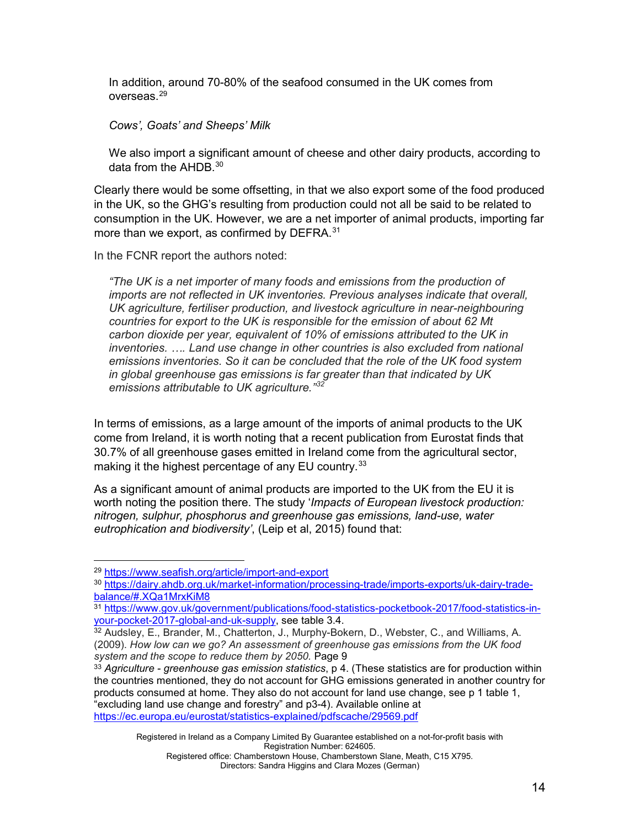In addition, around 70-80% of the seafood consumed in the UK comes from overseas. [29](#page-13-0)

*Cows', Goats' and Sheeps' Milk*

We also import a significant amount of cheese and other dairy products, according to data from the AHDB. [30](#page-13-1)

Clearly there would be some offsetting, in that we also export some of the food produced in the UK, so the GHG's resulting from production could not all be said to be related to consumption in the UK. However, we are a net importer of animal products, importing far more than we export, as confirmed by DEFRA.<sup>[31](#page-13-2)</sup>

In the FCNR report the authors noted:

*"The UK is a net importer of many foods and emissions from the production of imports are not reflected in UK inventories. Previous analyses indicate that overall, UK agriculture, fertiliser production, and livestock agriculture in near-neighbouring countries for export to the UK is responsible for the emission of about 62 Mt carbon dioxide per year, equivalent of 10% of emissions attributed to the UK in inventories. …. Land use change in other countries is also excluded from national emissions inventories. So it can be concluded that the role of the UK food system in global greenhouse gas emissions is far greater than that indicated by UK emissions attributable to UK agriculture."[32](#page-13-3)*

In terms of emissions, as a large amount of the imports of animal products to the UK come from Ireland, it is worth noting that a [recent](https://ec.europa.eu/eurostat/statistics-explained/pdfscache/29569.pdf) publication from Eurostat finds that 30.7% of all greenhouse gases emitted in Ireland come from the agricultural sector, making it the highest percentage of any EU country.<sup>[33](#page-13-4)</sup>

As a significant amount of animal products are imported to the UK from the EU it is worth noting the position there. The study '*Impacts of European livestock production: nitrogen, sulphur, phosphorus and greenhouse gas emissions, land-use, water eutrophication and biodiversity'*, (Leip et al, 2015) found that:

<span id="page-13-0"></span><sup>29</sup> <https://www.seafish.org/article/import-and-export>

<span id="page-13-1"></span><sup>30</sup> [https://dairy.ahdb.org.uk/market-information/processing-trade/imports-exports/uk-dairy-trade](https://dairy.ahdb.org.uk/market-information/processing-trade/imports-exports/uk-dairy-trade-balance/#.XQa1MrxKiM8)[balance/#.XQa1MrxKiM8](https://dairy.ahdb.org.uk/market-information/processing-trade/imports-exports/uk-dairy-trade-balance/#.XQa1MrxKiM8)

<span id="page-13-2"></span><sup>31</sup> [https://www.gov.uk/government/publications/food-statistics-pocketbook-2017/food-statistics-in](https://www.gov.uk/government/publications/food-statistics-pocketbook-2017/food-statistics-in-your-pocket-2017-global-and-uk-supply)[your-pocket-2017-global-and-uk-supply,](https://www.gov.uk/government/publications/food-statistics-pocketbook-2017/food-statistics-in-your-pocket-2017-global-and-uk-supply) see table 3.4.

<span id="page-13-3"></span> $32$  Audsley, E., Brander, M., Chatterton, J., Murphy-Bokern, D., Webster, C., and Williams, A. (2009). *How low can we go? An assessment of greenhouse gas emissions from the UK food system and the scope to reduce them by 2050.* Page 9

<span id="page-13-4"></span><sup>33</sup> *Agriculture - greenhouse gas emission statistics*, p 4. (These statistics are for production within the countries mentioned, they do not account for GHG emissions generated in another country for products consumed at home. They also do not account for land use change, see p 1 table 1, "excluding land use change and forestry" and p3-4). Available online at <https://ec.europa.eu/eurostat/statistics-explained/pdfscache/29569.pdf>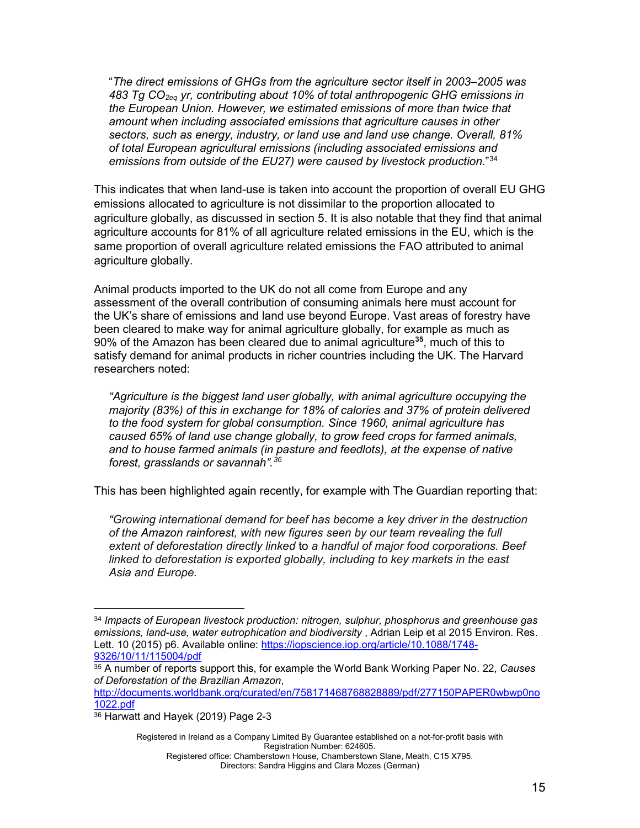"*The direct emissions of GHGs from the agriculture sector itself in 2003–2005 was 483 Tg CO2eq yr, contributing about 10% of total anthropogenic GHG emissions in the European Union. However, we estimated emissions of more than twice that amount when including associated emissions that agriculture causes in other sectors, such as energy, industry, or land use and land use change. Overall, 81% of total European agricultural emissions (including associated emissions and emissions from outside of the EU27) were caused by livestock production*.["34](#page-14-0)

This indicates that when land-use is taken into account the proportion of overall EU GHG emissions allocated to agriculture is not dissimilar to the proportion allocated to agriculture globally, as discussed in section 5. It is also notable that they find that animal agriculture accounts for 81% of all agriculture related emissions in the EU, which is the same proportion of overall agriculture related emissions the FAO attributed to animal agriculture globally.

Animal products imported to the UK do not all come from Europe and any assessment of the overall contribution of consuming animals here must account for the UK's share of emissions and land use beyond Europe. Vast areas of forestry have been cleared to make way for animal agriculture globally, for example as much as 90% of the Amazon has been cleared due to animal agriculture**[35](#page-14-1)**, much of this to satisfy demand for animal products in richer countries including the UK. The Harvard researchers noted:

*"Agriculture is the biggest land user globally, with animal agriculture occupying the majority (83%) of this in exchange for 18% of calories and 37% of protein delivered to the food system for global consumption. Since 1960, animal agriculture has caused 65% of land use change globally, to grow feed crops for farmed animals, and to house farmed animals (in pasture and feedlots), at the expense of native forest, grasslands or savannah". [36](#page-14-2)*

This has been highlighted again recently, for example with The Guardian reporting that:

*"Growing international demand for beef has become a key driver in the destruction of the [Amazon rainforest,](https://www.theguardian.com/environment/amazon-rainforest) with new figures seen by our team revealing the full extent of deforestation directly linked* to *a handful of major food corporations. Beef linked to deforestation is exported globally, including to key markets in the east Asia and Europe.*

Registered in Ireland as a Company Limited By Guarantee established on a not-for-profit basis with Registration Number: 624605.

<span id="page-14-0"></span><sup>34</sup> *Impacts of European livestock production: nitrogen, sulphur, phosphorus and greenhouse gas emissions, land-use, water eutrophication and biodiversity* , Adrian Leip et al 2015 Environ. Res. Lett. 10 (2015) p6. Available online: [https://iopscience.iop.org/article/10.1088/1748-](https://iopscience.iop.org/article/10.1088/1748-9326/10/11/115004/pdf) [9326/10/11/115004/pdf](https://iopscience.iop.org/article/10.1088/1748-9326/10/11/115004/pdf)

<span id="page-14-1"></span><sup>35</sup> A number of reports support this, for example the World Bank Working Paper No. 22, *Causes of Deforestation of the Brazilian Amazon*,

[http://documents.worldbank.org/curated/en/758171468768828889/pdf/277150PAPER0wbwp0no](http://documents.worldbank.org/curated/en/758171468768828889/pdf/277150PAPER0wbwp0no1022.pdf) [1022.pdf](http://documents.worldbank.org/curated/en/758171468768828889/pdf/277150PAPER0wbwp0no1022.pdf)

<span id="page-14-2"></span><sup>36</sup> Harwatt and Hayek (2019) Page 2-3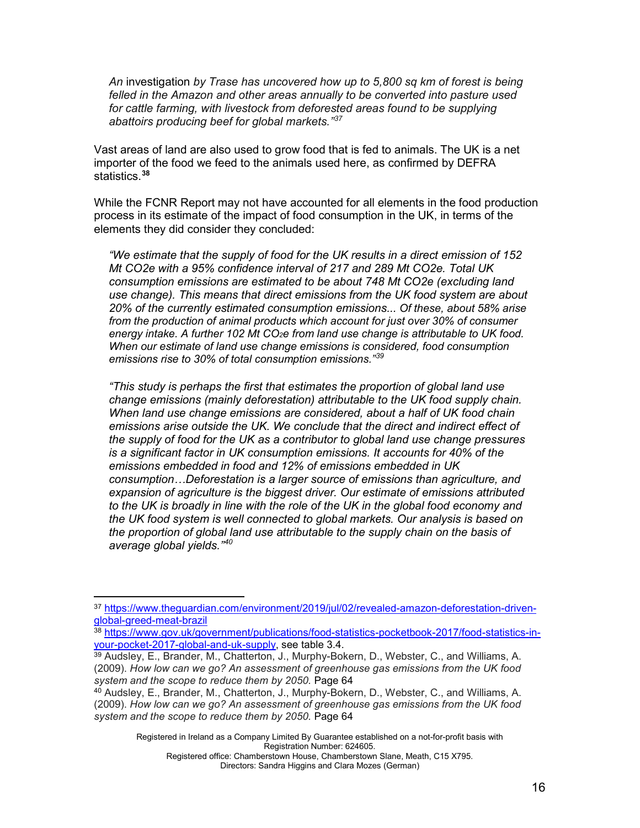*An* investigation *by Trase has uncovered how up to 5,800 sq km of forest is being felled in the Amazon and other areas annually to be converted into pasture used*  for cattle farming, with livestock from deforested areas found to be supplying *abattoirs producing beef for global markets." [37](#page-15-0)*

Vast areas of land are also used to grow food that is fed to animals. The UK is a net importer of the food we feed to the animals used here, as confirmed by DEFRA statistics. **[38](#page-15-1)**

While the FCNR Report may not have accounted for all elements in the food production process in its estimate of the impact of food consumption in the UK, in terms of the elements they did consider they concluded:

*"We estimate that the supply of food for the UK results in a direct emission of 152 Mt CO2e with a 95% confidence interval of 217 and 289 Mt CO2e. Total UK consumption emissions are estimated to be about 748 Mt CO2e (excluding land use change). This means that direct emissions from the UK food system are about 20% of the currently estimated consumption emissions... Of these, about 58% arise from the production of animal products which account for just over 30% of consumer energy intake. A further 102 Mt CO2e from land use change is attributable to UK food. When our estimate of land use change emissions is considered, food consumption emissions rise to 30% of total consumption emissions."[39](#page-15-2)*

*"This study is perhaps the first that estimates the proportion of global land use change emissions (mainly deforestation) attributable to the UK food supply chain. When land use change emissions are considered, about a half of UK food chain emissions arise outside the UK. We conclude that the direct and indirect effect of the supply of food for the UK as a contributor to global land use change pressures is a significant factor in UK consumption emissions. It accounts for 40% of the emissions embedded in food and 12% of emissions embedded in UK consumption…Deforestation is a larger source of emissions than agriculture, and expansion of agriculture is the biggest driver. Our estimate of emissions attributed to the UK is broadly in line with the role of the UK in the global food economy and the UK food system is well connected to global markets. Our analysis is based on the proportion of global land use attributable to the supply chain on the basis of average global yields." [40](#page-15-3)*

Registered in Ireland as a Company Limited By Guarantee established on a not-for-profit basis with Registration Number: 624605.

<span id="page-15-0"></span><sup>37</sup> [https://www.theguardian.com/environment/2019/jul/02/revealed-amazon-deforestation-driven](https://www.theguardian.com/environment/2019/jul/02/revealed-amazon-deforestation-driven-global-greed-meat-brazil)[global-greed-meat-brazil](https://www.theguardian.com/environment/2019/jul/02/revealed-amazon-deforestation-driven-global-greed-meat-brazil)

<span id="page-15-1"></span><sup>38</sup> [https://www.gov.uk/government/publications/food-statistics-pocketbook-2017/food-statistics-in](https://www.gov.uk/government/publications/food-statistics-pocketbook-2017/food-statistics-in-your-pocket-2017-global-and-uk-supply)[your-pocket-2017-global-and-uk-supply,](https://www.gov.uk/government/publications/food-statistics-pocketbook-2017/food-statistics-in-your-pocket-2017-global-and-uk-supply) see table 3.4.

<span id="page-15-2"></span><sup>39</sup> Audsley, E., Brander, M., Chatterton, J., Murphy-Bokern, D., Webster, C., and Williams, A. (2009). *How low can we go? An assessment of greenhouse gas emissions from the UK food system and the scope to reduce them by 2050.* Page 64

<span id="page-15-3"></span><sup>40</sup> Audsley, E., Brander, M., Chatterton, J., Murphy-Bokern, D., Webster, C., and Williams, A. (2009). *How low can we go? An assessment of greenhouse gas emissions from the UK food system and the scope to reduce them by 2050.* Page 64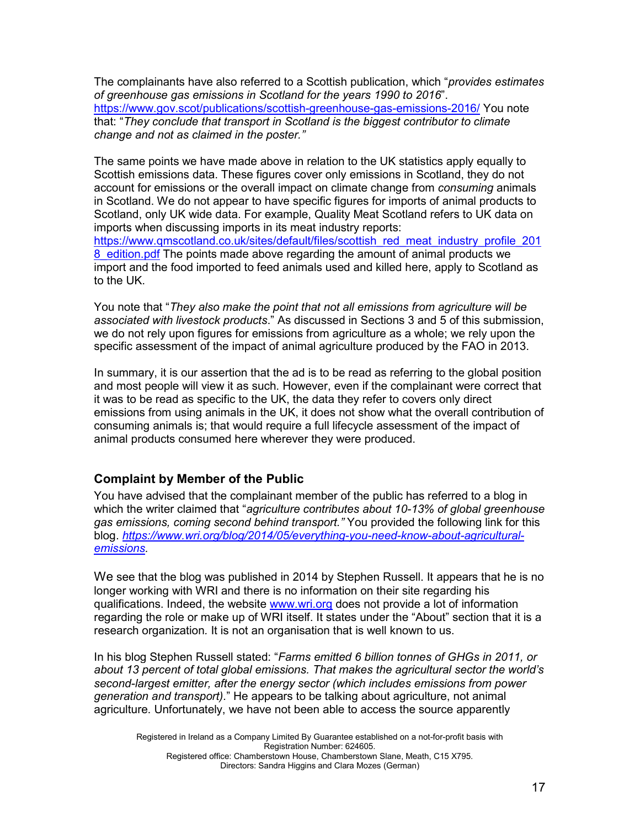The complainants have also referred to a Scottish publication, which "*provides estimates of greenhouse gas emissions in Scotland for the years 1990 to 2016*". <https://www.gov.scot/publications/scottish-greenhouse-gas-emissions-2016/> You note that: "*They conclude that transport in Scotland is the biggest contributor to climate change and not as claimed in the poster."*

The same points we have made above in relation to the UK statistics apply equally to Scottish emissions data. These figures cover only emissions in Scotland, they do not account for emissions or the overall impact on climate change from *consuming* animals in Scotland. We do not appear to have specific figures for imports of animal products to Scotland, only UK wide data. For example, Quality Meat Scotland refers to UK data on imports when discussing imports in its meat industry reports: [https://www.qmscotland.co.uk/sites/default/files/scottish\\_red\\_meat\\_industry\\_profile\\_201](https://www.qmscotland.co.uk/sites/default/files/scottish_red_meat_industry_profile_2018_edition.pdf) 8 edition.pdf The points made above regarding the amount of animal products we import and the food imported to feed animals used and killed here, apply to Scotland as to the UK.

You note that "*They also make the point that not all emissions from agriculture will be associated with livestock products*." As discussed in Sections 3 and 5 of this submission, we do not rely upon figures for emissions from agriculture as a whole; we rely upon the specific assessment of the impact of animal agriculture produced by the FAO in 2013.

In summary, it is our assertion that the ad is to be read as referring to the global position and most people will view it as such. However, even if the complainant were correct that it was to be read as specific to the UK, the data they refer to covers only direct emissions from using animals in the UK, it does not show what the overall contribution of consuming animals is; that would require a full lifecycle assessment of the impact of animal products consumed here wherever they were produced.

#### <span id="page-16-0"></span>**Complaint by Member of the Public**

You have advised that the complainant member of the public has referred to a blog in which the writer claimed that "*agriculture contributes about 10-13% of global greenhouse gas emissions, coming second behind transport."* You provided the following link for this blog. *[https://www.wri.org/blog/2014/05/everything-you-need-know-about-agricultural](https://www.wri.org/blog/2014/05/everything-you-need-know-about-agricultural-emissions)[emissions.](https://www.wri.org/blog/2014/05/everything-you-need-know-about-agricultural-emissions)* 

We see that the blog was published in 2014 by Stephen Russell. It appears that he is no longer working with WRI and there is no information on their site regarding his qualifications. Indeed, the website [www.wri.org](http://www.wri.org/) does not provide a lot of information regarding the role or make up of WRI itself. It states under the "About" section that it is a research organization*.* It is not an organisation that is well known to us.

In his blog Stephen Russell stated: "*Farms emitted 6 billion tonnes of GHGs in 2011, or about 13 percent of total global emissions. That makes the agricultural sector the world's second-largest emitter, after the energy sector (which includes emissions from power generation and transport).*" He appears to be talking about agriculture, not animal agriculture. Unfortunately, we have not been able to access the source apparently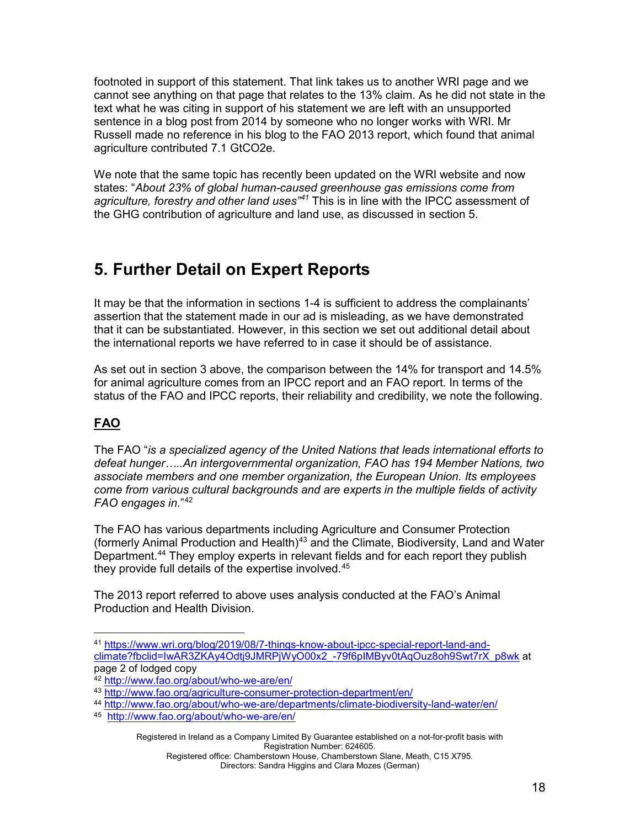footnoted in support of this statement. That link takes us to another WRI page and we cannot see anything on that page that relates to the 13% claim. As he did not state in the text what he was citing in support of his statement we are left with an unsupported sentence in a blog post from 2014 by someone who no longer works with WRI. Mr Russell made no reference in his blog to the FAO 2013 report, which found that animal agriculture contributed 7.1 GtCO2e.

We note that the same topic has recently been updated on the WRI website and now states: "*About 23% of global human-caused greenhouse gas emissions come from agriculture, forestry and other land uses" [41](#page-17-1)* This is in line with the IPCC assessment of the GHG contribution of agriculture and land use, as discussed in section 5.

## <span id="page-17-0"></span>**5. Further Detail on Expert Reports**

It may be that the information in sections 1-4 is sufficient to address the complainants' assertion that the statement made in our ad is misleading, as we have demonstrated that it can be substantiated. However, in this section we set out additional detail about the international reports we have referred to in case it should be of assistance.

As set out in section 3 above, the comparison between the 14% for transport and 14.5% for animal agriculture comes from an IPCC report and an FAO report. In terms of the status of the FAO and IPCC reports, their reliability and credibility, we note the following.

### **FAO**

The FAO "*is a specialized agency of the United Nations that leads international efforts to defeat hunger…..An intergovernmental organization, FAO has 194 Member Nations, two associate members and one member organization, the European Union. Its employees come from various cultural backgrounds and are experts in the multiple fields of activity FAO engages in*."[42](#page-17-2)

The FAO has various departments including Agriculture and Consumer Protection (formerly Animal Production and Health)<sup>[43](#page-17-3)</sup> and the Climate, Biodiversity, Land and Water Department. [44](#page-17-4) They employ experts in relevant fields and for each report they publish they provide full details of the expertise involved. [45](#page-17-5)

The 2013 report referred to above uses analysis conducted at the FAO's Animal Production and Health Division.

<span id="page-17-1"></span><sup>41</sup> [https://www.wri.org/blog/2019/08/7-things-know-about-ipcc-special-report-land-and](https://www.wri.org/blog/2019/08/7-things-know-about-ipcc-special-report-land-and-climate?fbclid=IwAR3ZKAy4Odtj9JMRPjWyO00x2_-79f6pIMByv0tAqOuz8oh9Swt7rX_p8wk)[climate?fbclid=IwAR3ZKAy4Odtj9JMRPjWyO00x2\\_-79f6pIMByv0tAqOuz8oh9Swt7rX\\_p8wk](https://www.wri.org/blog/2019/08/7-things-know-about-ipcc-special-report-land-and-climate?fbclid=IwAR3ZKAy4Odtj9JMRPjWyO00x2_-79f6pIMByv0tAqOuz8oh9Swt7rX_p8wk) at page 2 of lodged copy

<sup>42</sup> <http://www.fao.org/about/who-we-are/en/>

<span id="page-17-4"></span><span id="page-17-3"></span><span id="page-17-2"></span><sup>43</sup> <http://www.fao.org/agriculture-consumer-protection-department/en/>

<sup>44</sup> <http://www.fao.org/about/who-we-are/departments/climate-biodiversity-land-water/en/>

<span id="page-17-5"></span><sup>45</sup> <http://www.fao.org/about/who-we-are/en/>

Registered in Ireland as a Company Limited By Guarantee established on a not-for-profit basis with Registration Number: 624605.

Registered office: Chamberstown House, Chamberstown Slane, Meath, C15 X795. Directors: Sandra Higgins and Clara Mozes (German)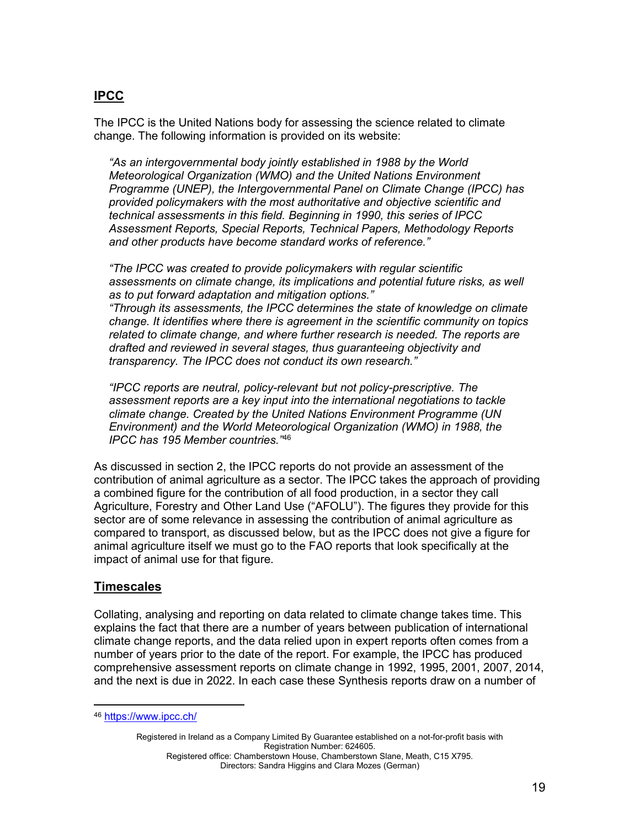#### **IPCC**

The IPCC is the United Nations body for assessing the science related to climate change. The following information is provided on its website:

*"As an intergovernmental body jointly established in 1988 by the World Meteorological Organization (WMO) and the United Nations Environment Programme (UNEP), the Intergovernmental Panel on Climate Change (IPCC) has provided policymakers with the most authoritative and objective scientific and technical assessments in this field. Beginning in 1990, this series of IPCC Assessment Reports, Special Reports, Technical Papers, Methodology Reports and other products have become standard works of reference."*

*"The IPCC was created to provide policymakers with regular scientific assessments on climate change, its implications and potential future risks, as well as to put forward adaptation and mitigation options."*

*"Through its assessments, the IPCC determines the state of knowledge on climate change. It identifies where there is agreement in the scientific community on topics related to climate change, and where further research is needed. The reports are drafted and reviewed in several stages, thus guaranteeing objectivity and transparency. The IPCC does not conduct its own research."*

*"IPCC reports are neutral, policy-relevant but not policy-prescriptive. The assessment reports are a key input into the international negotiations to tackle climate change. Created by the United Nations Environment Programme (UN Environment) and the World Meteorological Organization (WMO) in 1988, the IPCC has 195 Member countries."*[46](#page-18-0)

As discussed in section 2, the IPCC reports do not provide an assessment of the contribution of animal agriculture as a sector. The IPCC takes the approach of providing a combined figure for the contribution of all food production, in a sector they call Agriculture, Forestry and Other Land Use ("AFOLU"). The figures they provide for this sector are of some relevance in assessing the contribution of animal agriculture as compared to transport, as discussed below, but as the IPCC does not give a figure for animal agriculture itself we must go to the FAO reports that look specifically at the impact of animal use for that figure.

#### **Timescales**

Collating, analysing and reporting on data related to climate change takes time. This explains the fact that there are a number of years between publication of international climate change reports, and the data relied upon in expert reports often comes from a number of years prior to the date of the report. For example, the IPCC has produced comprehensive assessment reports on climate change in 1992, 1995, 2001, 2007, 2014, and the next is due in 2022. In each case these Synthesis reports draw on a number of

<span id="page-18-0"></span><sup>46</sup> <https://www.ipcc.ch/>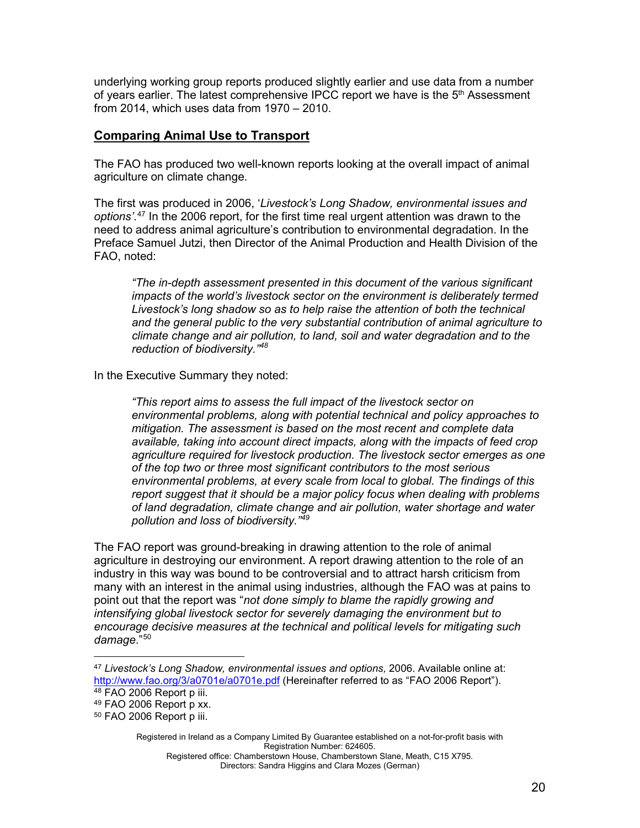underlying working group reports produced slightly earlier and use data from a number of years earlier. The latest comprehensive IPCC report we have is the 5<sup>th</sup> Assessment from 2014, which uses data from 1970 – 2010.

#### **Comparing Animal Use to Transport**

The FAO has produced two well-known reports looking at the overall impact of animal agriculture on climate change.

The first was produced in 2006, '*Livestock's Long Shadow, environmental issues and options'*. [47](#page-19-0) In the 2006 report, for the first time real urgent attention was drawn to the need to address animal agriculture's contribution to environmental degradation. In the Preface Samuel Jutzi, then Director of the Animal Production and Health Division of the FAO, noted:

*"The in-depth assessment presented in this document of the various significant impacts of the world's livestock sector on the environment is deliberately termed Livestock's long shadow so as to help raise the attention of both the technical and the general public to the very substantial contribution of animal agriculture to climate change and air pollution, to land, soil and water degradation and to the reduction of biodiversity." [48](#page-19-1)*

In the Executive Summary they noted:

*"This report aims to assess the full impact of the livestock sector on environmental problems, along with potential technical and policy approaches to mitigation. The assessment is based on the most recent and complete data available, taking into account direct impacts, along with the impacts of feed crop agriculture required for livestock production. The livestock sector emerges as one of the top two or three most significant contributors to the most serious environmental problems, at every scale from local to global. The findings of this report suggest that it should be a major policy focus when dealing with problems of land degradation, climate change and air pollution, water shortage and water pollution and loss of biodiversity." [49](#page-19-2)*

The FAO report was ground-breaking in drawing attention to the role of animal agriculture in destroying our environment. A report drawing attention to the role of an industry in this way was bound to be controversial and to attract harsh criticism from many with an interest in the animal using industries, although the FAO was at pains to point out that the report was "*not done simply to blame the rapidly growing and intensifying global livestock sector for severely damaging the environment but to encourage decisive measures at the technical and political levels for mitigating such damage*."[50](#page-19-3)

<span id="page-19-0"></span><sup>47</sup> *Livestock's Long Shadow, environmental issues and options,* 2006. Available online at: <http://www.fao.org/3/a0701e/a0701e.pdf> (Hereinafter referred to as "FAO 2006 Report"). <sup>48</sup> FAO 2006 Report p iii.

<span id="page-19-2"></span><span id="page-19-1"></span> $49$  FAO 2006 Report p xx.

<span id="page-19-3"></span><sup>50</sup> FAO 2006 Report p iii.

Registered in Ireland as a Company Limited By Guarantee established on a not-for-profit basis with Registration Number: 624605.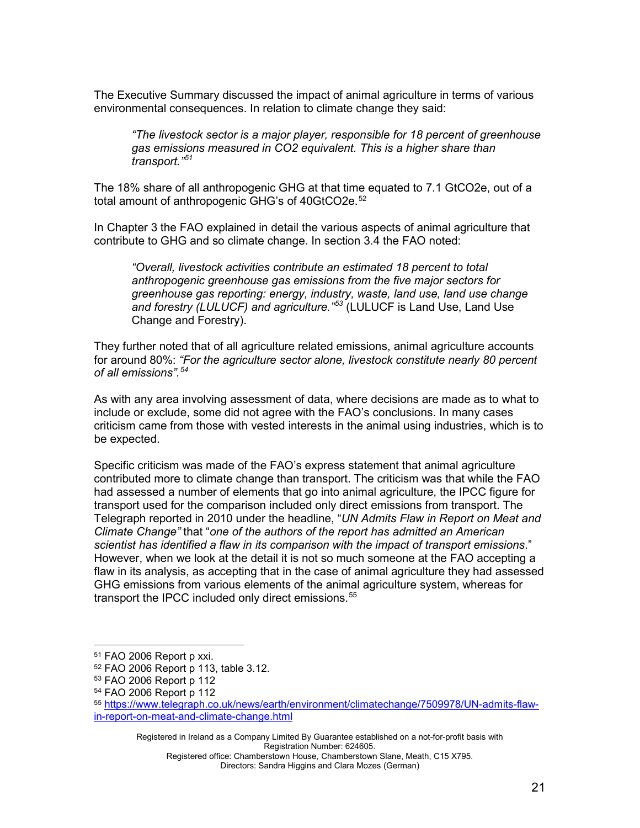The Executive Summary discussed the impact of animal agriculture in terms of various environmental consequences. In relation to climate change they said:

*"The livestock sector is a major player, responsible for 18 percent of greenhouse gas emissions measured in CO2 equivalent. This is a higher share than transport." [51](#page-20-0)*

The 18% share of all anthropogenic GHG at that time equated to 7.1 GtCO2e, out of a total amount of anthropogenic GHG's of 40GtCO2e. [52](#page-20-1)

In Chapter 3 the FAO explained in detail the various aspects of animal agriculture that contribute to GHG and so climate change. In section 3.4 the FAO noted:

*"Overall, livestock activities contribute an estimated 18 percent to total anthropogenic greenhouse gas emissions from the five major sectors for greenhouse gas reporting: energy, industry, waste, land use, land use change and forestry (LULUCF) and agriculture." [53](#page-20-2)* (LULUCF is Land Use, Land Use Change and Forestry).

They further noted that of all agriculture related emissions, animal agriculture accounts for around 80%: *"For the agriculture sector alone, livestock constitute nearly 80 percent of all emissions". [54](#page-20-3)*

As with any area involving assessment of data, where decisions are made as to what to include or exclude, some did not agree with the FAO's conclusions. In many cases criticism came from those with vested interests in the animal using industries, which is to be expected.

Specific criticism was made of the FAO's express statement that animal agriculture contributed more to climate change than transport. The criticism was that while the FAO had assessed a number of elements that go into animal agriculture, the IPCC figure for transport used for the comparison included only direct emissions from transport. The Telegraph reported in 2010 under the headline, "*UN Admits Flaw in Report on Meat and Climate Change"* that "*one of the authors of the report has admitted an American scientist has identified a flaw in its comparison with the impact of transport emissions*." However, when we look at the detail it is not so much someone at the FAO accepting a flaw in its analysis, as accepting that in the case of animal agriculture they had assessed GHG emissions from various elements of the animal agriculture system, whereas for transport the IPCC included only direct emissions.<sup>[55](#page-20-4)</sup>

Registered in Ireland as a Company Limited By Guarantee established on a not-for-profit basis with Registration Number: 624605.

<span id="page-20-0"></span><sup>51</sup> FAO 2006 Report p xxi.

<span id="page-20-2"></span><span id="page-20-1"></span><sup>52</sup> FAO 2006 Report p 113, table 3.12.

<sup>53</sup> FAO 2006 Report p 112

<span id="page-20-3"></span><sup>54</sup> FAO 2006 Report p 112

<span id="page-20-4"></span><sup>55</sup> [https://www.telegraph.co.uk/news/earth/environment/climatechange/7509978/UN-admits-flaw](https://www.telegraph.co.uk/news/earth/environment/climatechange/7509978/UN-admits-flaw-in-report-on-meat-and-climate-change.html)[in-report-on-meat-and-climate-change.html](https://www.telegraph.co.uk/news/earth/environment/climatechange/7509978/UN-admits-flaw-in-report-on-meat-and-climate-change.html)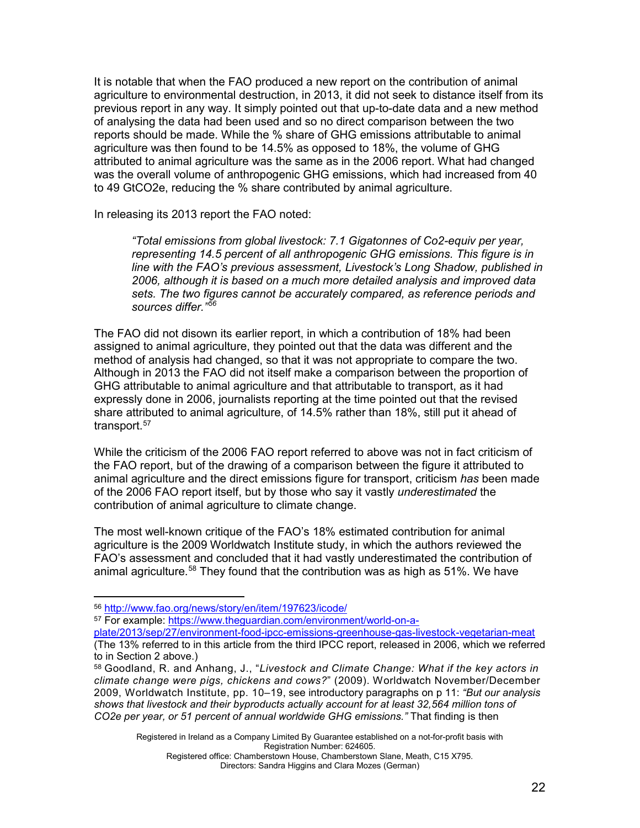It is notable that when the FAO produced a new report on the contribution of animal agriculture to environmental destruction, in 2013, it did not seek to distance itself from its previous report in any way. It simply pointed out that up-to-date data and a new method of analysing the data had been used and so no direct comparison between the two reports should be made. While the % share of GHG emissions attributable to animal agriculture was then found to be 14.5% as opposed to 18%, the volume of GHG attributed to animal agriculture was the same as in the 2006 report. What had changed was the overall volume of anthropogenic GHG emissions, which had increased from 40 to 49 GtCO2e, reducing the % share contributed by animal agriculture.

In releasing its 2013 report the FAO noted:

*"Total emissions from global livestock: 7.1 Gigatonnes of Co2-equiv per year, representing 14.5 percent of all anthropogenic GHG emissions. This figure is in line with the FAO's previous assessment, Livestock's Long Shadow, published in 2006, although it is based on a much more detailed analysis and improved data sets. The two figures cannot be accurately compared, as reference periods and sources differ." [56](#page-21-0)*

The FAO did not disown its earlier report, in which a contribution of 18% had been assigned to animal agriculture, they pointed out that the data was different and the method of analysis had changed, so that it was not appropriate to compare the two. Although in 2013 the FAO did not itself make a comparison between the proportion of GHG attributable to animal agriculture and that attributable to transport, as it had expressly done in 2006, journalists reporting at the time pointed out that the revised share attributed to animal agriculture, of 14.5% rather than 18%, still put it ahead of transport.<sup>[57](#page-21-1)</sup>

While the criticism of the 2006 FAO report referred to above was not in fact criticism of the FAO report, but of the drawing of a comparison between the figure it attributed to animal agriculture and the direct emissions figure for transport, criticism *has* been made of the 2006 FAO report itself, but by those who say it vastly *underestimated* the contribution of animal agriculture to climate change.

The most well-known critique of the FAO's 18% estimated contribution for animal agriculture is the 2009 Worldwatch Institute study, in which the authors reviewed the FAO's assessment and concluded that it had vastly underestimated the contribution of animal agriculture.<sup>[58](#page-21-2)</sup> They found that the contribution was as high as 51%. We have

<span id="page-21-1"></span><sup>57</sup> For example: [https://www.theguardian.com/environment/world-on-a-](https://www.theguardian.com/environment/world-on-a-plate/2013/sep/27/environment-food-ipcc-emissions-greenhouse-gas-livestock-vegetarian-meat)

Registered in Ireland as a Company Limited By Guarantee established on a not-for-profit basis with Registration Number: 624605.

<span id="page-21-0"></span><sup>56</sup> <http://www.fao.org/news/story/en/item/197623/icode/>

[plate/2013/sep/27/environment-food-ipcc-emissions-greenhouse-gas-livestock-vegetarian-meat](https://www.theguardian.com/environment/world-on-a-plate/2013/sep/27/environment-food-ipcc-emissions-greenhouse-gas-livestock-vegetarian-meat) (The 13% referred to in this article from the third IPCC report, released in 2006, which we referred to in Section 2 above.)

<span id="page-21-2"></span><sup>58</sup> Goodland, R. and Anhang, J., "*Livestock and Climate Change: What if the key actors in climate change were pigs, chickens and cows?*" (2009). Worldwatch November/December 2009, Worldwatch Institute, pp. 10–19, see introductory paragraphs on p 11: *"But our analysis shows that livestock and their byproducts actually account for at least 32,564 million tons of CO2e per year, or 51 percent of annual worldwide GHG emissions."* That finding is then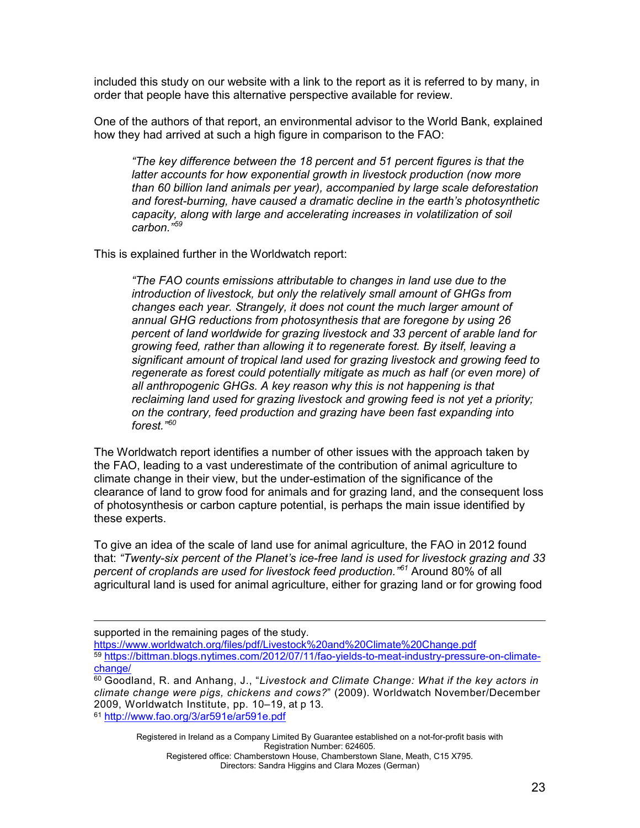included this study on our website with a link to the report as it is referred to by many, in order that people have this alternative perspective available for review.

One of the authors of that report, an environmental advisor to the World Bank, explained how they had arrived at such a high figure in comparison to the FAO:

*"The key difference between the 18 percent and 51 percent figures is that the latter accounts for how exponential growth in livestock production (now [more](https://www.routledge.com/books/details/9781844079032/)  [than 60 billion](https://www.routledge.com/books/details/9781844079032/) land animals per year), accompanied by large scale deforestation and forest-burning, have caused a dramatic decline in the earth's photosynthetic capacity, along with large and accelerating increases in volatilization of soil carbon."[59](#page-22-0)*

This is explained further in the Worldwatch report:

*"The FAO counts emissions attributable to changes in land use due to the introduction of livestock, but only the relatively small amount of GHGs from changes each year. Strangely, it does not count the much larger amount of annual GHG reductions from photosynthesis that are foregone by using 26 percent of land worldwide for grazing livestock and 33 percent of arable land for growing feed, rather than allowing it to regenerate forest. By itself, leaving a significant amount of tropical land used for grazing livestock and growing feed to regenerate as forest could potentially mitigate as much as half (or even more) of all anthropogenic GHGs. A key reason why this is not happening is that reclaiming land used for grazing livestock and growing feed is not yet a priority; on the contrary, feed production and grazing have been fast expanding into forest." [60](#page-22-1)*

The Worldwatch report identifies a number of other issues with the approach taken by the FAO, leading to a vast underestimate of the contribution of animal agriculture to climate change in their view, but the under-estimation of the significance of the clearance of land to grow food for animals and for grazing land, and the consequent loss of photosynthesis or carbon capture potential, is perhaps the main issue identified by these experts.

To give an idea of the scale of land use for animal agriculture, the FAO in 2012 found that: *"Twenty-six percent of the Planet's ice-free land is used for livestock grazing and 33 percent of croplands are used for livestock feed production." [61](#page-22-2)* Around 80% of all agricultural land is used for animal agriculture, either for grazing land or for growing food

<https://www.worldwatch.org/files/pdf/Livestock%20and%20Climate%20Change.pdf>

<span id="page-22-0"></span><sup>59</sup> [https://bittman.blogs.nytimes.com/2012/07/11/fao-yields-to-meat-industry-pressure-on-climate](https://bittman.blogs.nytimes.com/2012/07/11/fao-yields-to-meat-industry-pressure-on-climate-change/)[change/](https://bittman.blogs.nytimes.com/2012/07/11/fao-yields-to-meat-industry-pressure-on-climate-change/)

Registered in Ireland as a Company Limited By Guarantee established on a not-for-profit basis with Registration Number: 624605. Registered office: Chamberstown House, Chamberstown Slane, Meath, C15 X795.

Directors: Sandra Higgins and Clara Mozes (German)

supported in the remaining pages of the study.

<span id="page-22-2"></span><span id="page-22-1"></span><sup>60</sup> Goodland, R. and Anhang, J., "*Livestock and Climate Change: What if the key actors in climate change were pigs, chickens and cows?*" (2009). Worldwatch November/December 2009, Worldwatch Institute, pp. 10–19, at p 13. <sup>61</sup> <http://www.fao.org/3/ar591e/ar591e.pdf>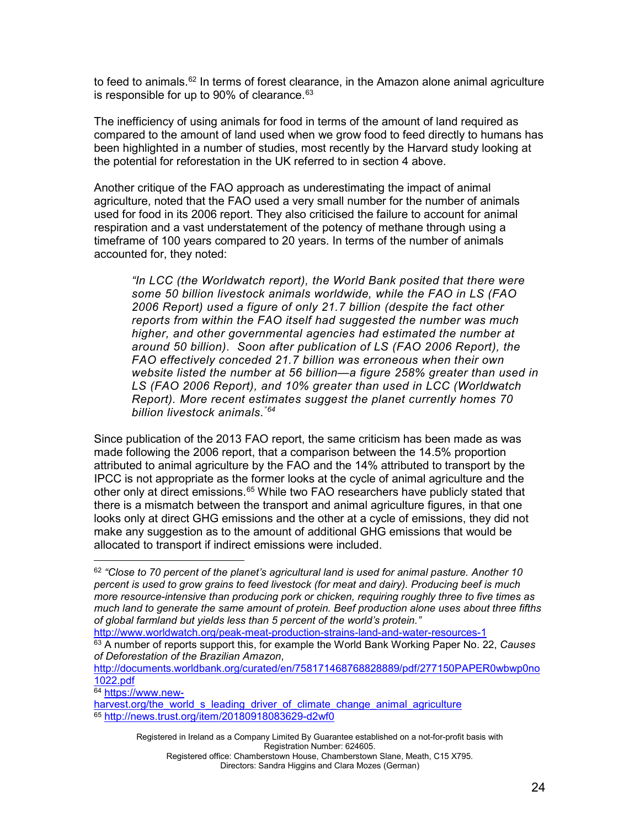to feed to animals. $^{62}$  $^{62}$  $^{62}$  In terms of forest clearance, in the Amazon alone animal agriculture is responsible for up to 90% of clearance.<sup>[63](#page-23-1)</sup>

The inefficiency of using animals for food in terms of the amount of land required as compared to the amount of land used when we grow food to feed directly to humans has been highlighted in a number of studies, most recently by the Harvard study looking at the potential for reforestation in the UK referred to in section 4 above.

Another critique of the FAO approach as underestimating the impact of animal agriculture, noted that the FAO used a very small number for the number of animals used for food in its 2006 report. They also criticised the failure to account for animal respiration and a vast understatement of the potency of methane through using a timeframe of 100 years compared to 20 years. In terms of the number of animals accounted for, they noted:

*"In LCC (the Worldwatch report), the World Bank posited that there were some 50 billion livestock animals worldwide, while the FAO in LS (FAO 2006 Report) used a figure of only 21.7 billion (despite the fact other reports from within the FAO itself had suggested the number was much higher, and other governmental agencies had estimated the number at around 50 billion). Soon after publication of LS (FAO 2006 Report), the FAO effectively conceded 21.7 billion was erroneous when their own website listed the number at 56 billion—a figure 258% greater than used in LS (FAO 2006 Report), and 10% greater than used in LCC (Worldwatch Report). More recent estimates suggest the planet currently homes 70 billion livestock animals. "[64](#page-23-2)*

Since publication of the 2013 FAO report, the same criticism has been made as was made following the 2006 report, that a comparison between the 14.5% proportion attributed to animal agriculture by the FAO and the 14% attributed to transport by the IPCC is not appropriate as the former looks at the cycle of animal agriculture and the other only at direct emissions.<sup>[65](#page-23-3)</sup> While two FAO researchers have publicly stated that there is a mismatch between the transport and animal agriculture figures, in that one looks only at direct GHG emissions and the other at a cycle of emissions, they did not make any suggestion as to the amount of additional GHG emissions that would be allocated to transport if indirect emissions were included.

<http://www.worldwatch.org/peak-meat-production-strains-land-and-water-resources-1>

<span id="page-23-2"></span><sup>64</sup> [https://www.new-](https://www.new-harvest.org/the_world_s_leading_driver_of_climate_change_animal_agriculture)

Directors: Sandra Higgins and Clara Mozes (German)

<span id="page-23-0"></span><sup>62</sup> *"Close to 70 percent of the planet's agricultural land is used for animal pasture. Another 10 percent is used to grow grains to feed livestock (for meat and dairy). Producing beef is much more resource-intensive than producing pork or chicken, requiring roughly three to five times as much land to generate the same amount of protein. Beef production alone uses about three fifths of global farmland but yields less than 5 percent of the world's protein."*

<span id="page-23-1"></span><sup>63</sup> A number of reports support this, for example the World Bank Working Paper No. 22, *Causes of Deforestation of the Brazilian Amazon*,

[http://documents.worldbank.org/curated/en/758171468768828889/pdf/277150PAPER0wbwp0no](http://documents.worldbank.org/curated/en/758171468768828889/pdf/277150PAPER0wbwp0no1022.pdf) [1022.pdf](http://documents.worldbank.org/curated/en/758171468768828889/pdf/277150PAPER0wbwp0no1022.pdf)

<span id="page-23-3"></span>[harvest.org/the\\_world\\_s\\_leading\\_driver\\_of\\_climate\\_change\\_animal\\_agriculture](https://www.new-harvest.org/the_world_s_leading_driver_of_climate_change_animal_agriculture) <sup>65</sup> <http://news.trust.org/item/20180918083629-d2wf0>

Registered in Ireland as a Company Limited By Guarantee established on a not-for-profit basis with Registration Number: 624605. Registered office: Chamberstown House, Chamberstown Slane, Meath, C15 X795.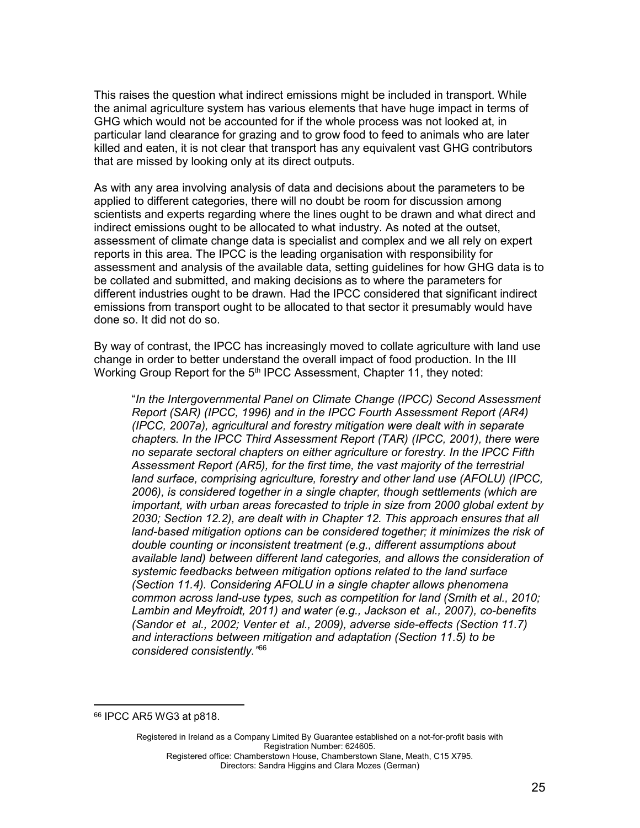This raises the question what indirect emissions might be included in transport. While the animal agriculture system has various elements that have huge impact in terms of GHG which would not be accounted for if the whole process was not looked at, in particular land clearance for grazing and to grow food to feed to animals who are later killed and eaten, it is not clear that transport has any equivalent vast GHG contributors that are missed by looking only at its direct outputs.

As with any area involving analysis of data and decisions about the parameters to be applied to different categories, there will no doubt be room for discussion among scientists and experts regarding where the lines ought to be drawn and what direct and indirect emissions ought to be allocated to what industry. As noted at the outset, assessment of climate change data is specialist and complex and we all rely on expert reports in this area. The IPCC is the leading organisation with responsibility for assessment and analysis of the available data, setting guidelines for how GHG data is to be collated and submitted, and making decisions as to where the parameters for different industries ought to be drawn. Had the IPCC considered that significant indirect emissions from transport ought to be allocated to that sector it presumably would have done so. It did not do so.

By way of contrast, the IPCC has increasingly moved to collate agriculture with land use change in order to better understand the overall impact of food production. In the III Working Group Report for the 5<sup>th</sup> IPCC Assessment, Chapter 11, they noted:

"*In the Intergovernmental Panel on Climate Change (IPCC) Second Assessment Report (SAR) (IPCC, 1996) and in the IPCC Fourth Assessment Report (AR4) (IPCC, 2007a), agricultural and forestry mitigation were dealt with in separate chapters. In the IPCC Third Assessment Report (TAR) (IPCC, 2001), there were no separate sectoral chapters on either agriculture or forestry. In the IPCC Fifth Assessment Report (AR5), for the first time, the vast majority of the terrestrial land surface, comprising agriculture, forestry and other land use (AFOLU) (IPCC, 2006), is considered together in a single chapter, though settlements (which are important, with urban areas forecasted to triple in size from 2000 global extent by 2030; Section 12.2), are dealt with in Chapter 12. This approach ensures that all land-based mitigation options can be considered together; it minimizes the risk of double counting or inconsistent treatment (e.g., different assumptions about available land) between different land categories, and allows the consideration of systemic feedbacks between mitigation options related to the land surface (Section 11.4). Considering AFOLU in a single chapter allows phenomena common across land-use types, such as competition for land (Smith et al., 2010; Lambin and Meyfroidt, 2011) and water (e.g., Jackson et al., 2007), co-benefits (Sandor et al., 2002; Venter et al., 2009), adverse side-effects (Section 11.7) and interactions between mitigation and adaptation (Section 11.5) to be considered consistently."* [66](#page-24-0)

<span id="page-24-0"></span><sup>66</sup> IPCC AR5 WG3 at p818.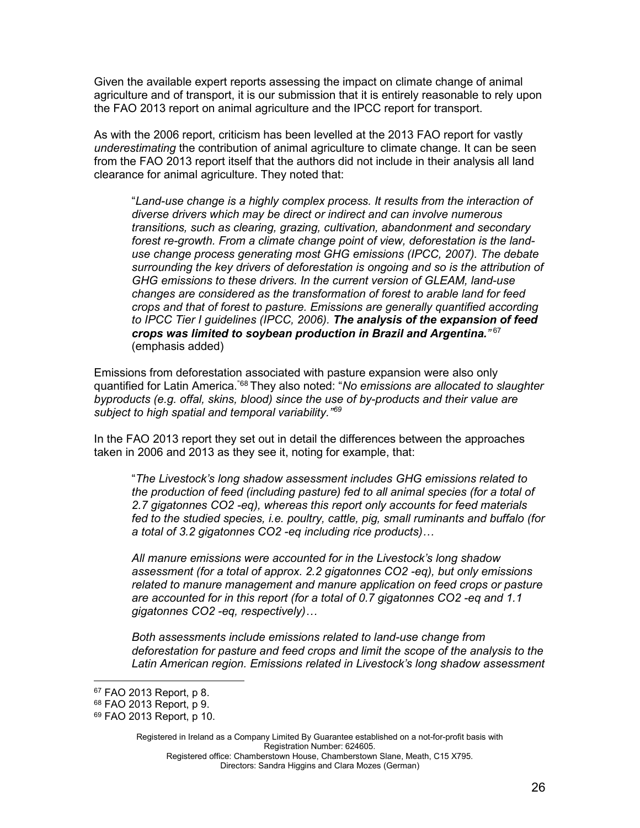Given the available expert reports assessing the impact on climate change of animal agriculture and of transport, it is our submission that it is entirely reasonable to rely upon the FAO 2013 report on animal agriculture and the IPCC report for transport.

As with the 2006 report, criticism has been levelled at the 2013 FAO report for vastly *underestimating* the contribution of animal agriculture to climate change. It can be seen from the FAO 2013 report itself that the authors did not include in their analysis all land clearance for animal agriculture. They noted that:

"*Land-use change is a highly complex process. It results from the interaction of diverse drivers which may be direct or indirect and can involve numerous transitions, such as clearing, grazing, cultivation, abandonment and secondary forest re-growth. From a climate change point of view, deforestation is the landuse change process generating most GHG emissions (IPCC, 2007). The debate surrounding the key drivers of deforestation is ongoing and so is the attribution of GHG emissions to these drivers. In the current version of GLEAM, land-use changes are considered as the transformation of forest to arable land for feed crops and that of forest to pasture. Emissions are generally quantified according to IPCC Tier I guidelines (IPCC, 2006). The analysis of the expansion of feed crops was limited to soybean production in Brazil and Argentina."* [67](#page-25-0) (emphasis added)

Emissions from deforestation associated with pasture expansion were also only quantified for Latin America. "[68](#page-25-1) They also noted: "*No emissions are allocated to slaughter byproducts (e.g. offal, skins, blood) since the use of by-products and their value are subject to high spatial and temporal variability."[69](#page-25-2)*

In the FAO 2013 report they set out in detail the differences between the approaches taken in 2006 and 2013 as they see it, noting for example, that:

"*The Livestock's long shadow assessment includes GHG emissions related to the production of feed (including pasture) fed to all animal species (for a total of 2.7 gigatonnes CO2 -eq), whereas this report only accounts for feed materials fed to the studied species, i.e. poultry, cattle, pig, small ruminants and buffalo (for a total of 3.2 gigatonnes CO2 -eq including rice products)…*

*All manure emissions were accounted for in the Livestock's long shadow assessment (for a total of approx. 2.2 gigatonnes CO2 -eq), but only emissions related to manure management and manure application on feed crops or pasture are accounted for in this report (for a total of 0.7 gigatonnes CO2 -eq and 1.1 gigatonnes CO2 -eq, respectively)…*

*Both assessments include emissions related to land-use change from deforestation for pasture and feed crops and limit the scope of the analysis to the Latin American region. Emissions related in Livestock's long shadow assessment* 

<span id="page-25-0"></span><sup>67</sup> FAO 2013 Report, p 8.

<span id="page-25-1"></span><sup>68</sup> FAO 2013 Report, p 9.

<span id="page-25-2"></span><sup>69</sup> FAO 2013 Report, p 10.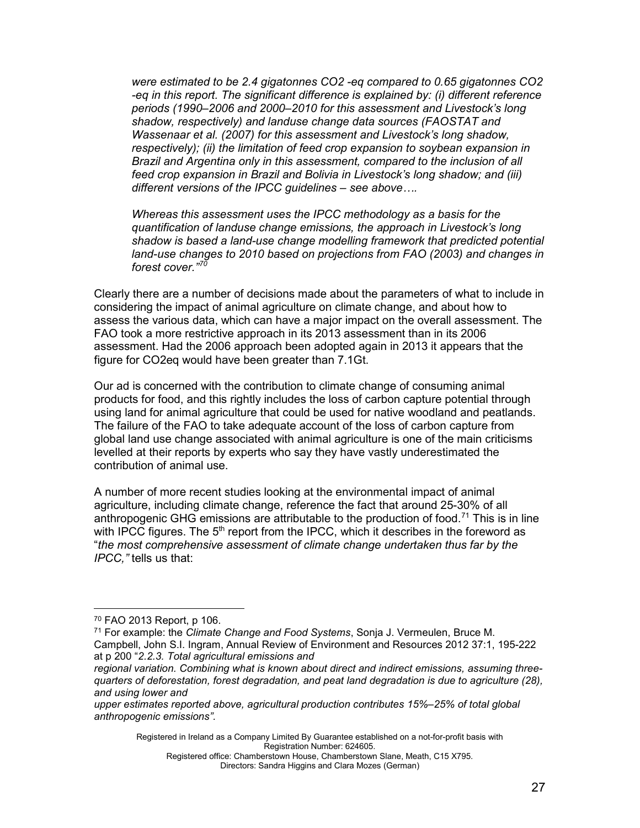*were estimated to be 2.4 gigatonnes CO2 -eq compared to 0.65 gigatonnes CO2 -eq in this report. The significant difference is explained by: (i) different reference periods (1990–2006 and 2000–2010 for this assessment and Livestock's long shadow, respectively) and landuse change data sources (FAOSTAT and Wassenaar et al. (2007) for this assessment and Livestock's long shadow, respectively); (ii) the limitation of feed crop expansion to soybean expansion in Brazil and Argentina only in this assessment, compared to the inclusion of all feed crop expansion in Brazil and Bolivia in Livestock's long shadow; and (iii) different versions of the IPCC guidelines – see above….*

*Whereas this assessment uses the IPCC methodology as a basis for the quantification of landuse change emissions, the approach in Livestock's long shadow is based a land-use change modelling framework that predicted potential land-use changes to 2010 based on projections from FAO (2003) and changes in forest cover." [70](#page-26-0)*

Clearly there are a number of decisions made about the parameters of what to include in considering the impact of animal agriculture on climate change, and about how to assess the various data, which can have a major impact on the overall assessment. The FAO took a more restrictive approach in its 2013 assessment than in its 2006 assessment. Had the 2006 approach been adopted again in 2013 it appears that the figure for CO2eq would have been greater than 7.1Gt.

Our ad is concerned with the contribution to climate change of consuming animal products for food, and this rightly includes the loss of carbon capture potential through using land for animal agriculture that could be used for native woodland and peatlands. The failure of the FAO to take adequate account of the loss of carbon capture from global land use change associated with animal agriculture is one of the main criticisms levelled at their reports by experts who say they have vastly underestimated the contribution of animal use.

A number of more recent studies looking at the environmental impact of animal agriculture, including climate change, reference the fact that around 25-30% of all anthropogenic GHG emissions are attributable to the production of food.<sup>[71](#page-26-1)</sup> This is in line with IPCC figures. The  $5<sup>th</sup>$  report from the IPCC, which it describes in the foreword as "*the most comprehensive assessment of climate change undertaken thus far by the IPCC,"* tells us that:

<span id="page-26-1"></span><span id="page-26-0"></span><sup>70</sup> FAO 2013 Report, p 106.<br><sup>71</sup> For example: the *[Climate Change and Food Systems](https://www.annualreviews.org/doi/abs/10.1146/annurev-environ-020411-130608)*, Sonja J. Vermeulen, Bruce M. Campbell, John S.I. Ingram, Annual Review of Environment and Resources 2012 37:1, 195-222 at p 200 "*2.2.3. Total agricultural emissions and*

Registered in Ireland as a Company Limited By Guarantee established on a not-for-profit basis with Registration Number: 624605.

*regional variation. Combining what is known about direct and indirect emissions, assuming threequarters of deforestation, forest degradation, and peat land degradation is due to agriculture (28), and using lower and*

*upper estimates reported above, agricultural production contributes 15%–25% of total global anthropogenic emissions".*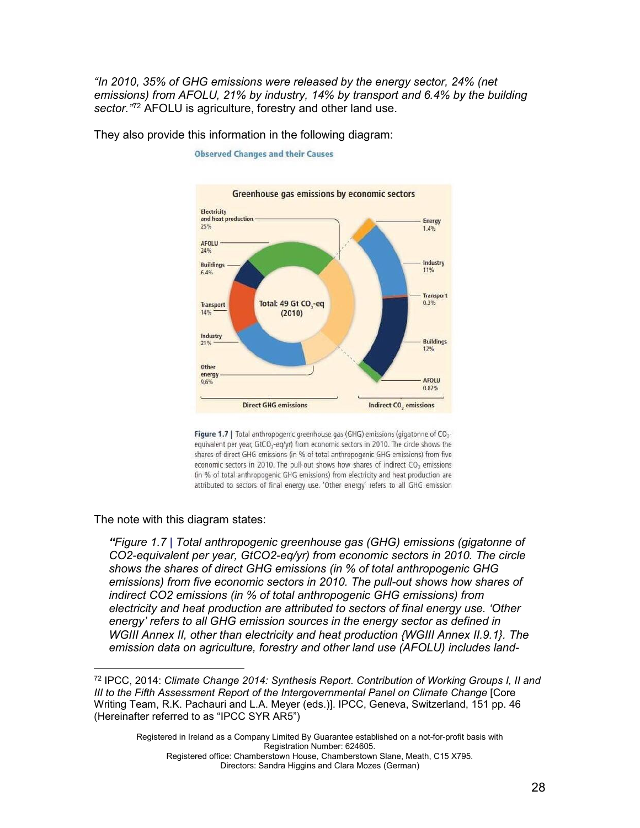*"In 2010, 35% of GHG emissions were released by the energy sector, 24% (net emissions) from AFOLU, 21% by industry, 14% by transport and 6.4% by the building sector."*[72](#page-27-0) AFOLU is agriculture, forestry and other land use.



They also provide this information in the following diagram:

**Observed Changes and their Causes** 

Figure 1.7 | Total anthropogenic greenhouse gas (GHG) emissions (gigatonne of CO<sub>2</sub>equivalent per year, GtCO<sub>2</sub>-eq/yr) from economic sectors in 2010. The circle shows the shares of direct GHG emissions (in % of total anthropogenic GHG emissions) from five economic sectors in 2010. The pull-out shows how shares of indirect CO<sub>2</sub> emissions (in % of total anthropogenic GHG emissions) from electricity and heat production are attributed to sectors of final energy use. 'Other energy' refers to all GHG emission

The note with this diagram states:

*"Figure 1.7 | Total anthropogenic greenhouse gas (GHG) emissions (gigatonne of CO2-equivalent per year, GtCO2-eq/yr) from economic sectors in 2010. The circle shows the shares of direct GHG emissions (in % of total anthropogenic GHG emissions) from five economic sectors in 2010. The pull-out shows how shares of indirect CO2 emissions (in % of total anthropogenic GHG emissions) from electricity and heat production are attributed to sectors of final energy use. 'Other energy' refers to all GHG emission sources in the energy sector as defined in WGIII Annex II, other than electricity and heat production {WGIII Annex II.9.1}. The emission data on agriculture, forestry and other land use (AFOLU) includes land-*

<span id="page-27-0"></span><sup>72</sup> IPCC, 2014: *Climate Change 2014: Synthesis Report*. *Contribution of Working Groups I, II and III to the Fifth Assessment Report of the Intergovernmental Panel on Climate Change* [Core Writing Team, R.K. Pachauri and L.A. Meyer (eds.)]. IPCC, Geneva, Switzerland, 151 pp. 46 (Hereinafter referred to as "IPCC SYR AR5")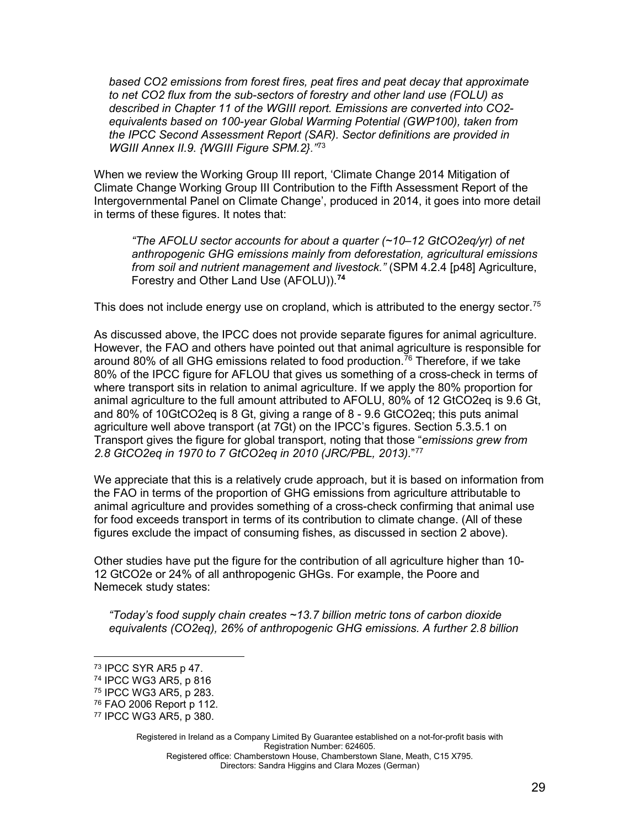*based CO2 emissions from forest fires, peat fires and peat decay that approximate to net CO2 flux from the sub-sectors of forestry and other land use (FOLU) as described in Chapter 11 of the WGIII report. Emissions are converted into CO2 equivalents based on 100-year Global Warming Potential (GWP100), taken from the IPCC Second Assessment Report (SAR). Sector definitions are provided in WGIII Annex II.9. {WGIII Figure SPM.2}."* [73](#page-28-0)

When we review the Working Group III report, 'Climate Change 2014 Mitigation of Climate Change Working Group III Contribution to the Fifth Assessment Report of the Intergovernmental Panel on Climate Change', produced in 2014, it goes into more detail in terms of these figures. It notes that:

*"The AFOLU sector accounts for about a quarter (~10–12 GtCO2eq/yr) of net anthropogenic GHG emissions mainly from deforestation, agricultural emissions from soil and nutrient management and livestock."* (SPM 4.2.4 [p48] Agriculture, Forestry and Other Land Use (AFOLU)). **[74](#page-28-1)**

This does not include energy use on cropland, which is attributed to the energy sector. $^{75}$  $^{75}$  $^{75}$ 

As discussed above, the IPCC does not provide separate figures for animal agriculture. However, the FAO and others have pointed out that animal agriculture is responsible for around 80% of all GHG emissions related to food production. $^{76}$  $^{76}$  $^{76}$  Therefore, if we take 80% of the IPCC figure for AFLOU that gives us something of a cross-check in terms of where transport sits in relation to animal agriculture. If we apply the 80% proportion for animal agriculture to the full amount attributed to AFOLU, 80% of 12 GtCO2eq is 9.6 Gt, and 80% of 10GtCO2eq is 8 Gt, giving a range of 8 - 9.6 GtCO2eq; this puts animal agriculture well above transport (at 7Gt) on the IPCC's figures. Section 5.3.5.1 on Transport gives the figure for global transport, noting that those "*emissions grew from 2.8 GtCO2eq in 1970 to 7 GtCO2eq in 2010 (JRC/PBL, 2013).*"[77](#page-28-4)

We appreciate that this is a relatively crude approach, but it is based on information from the FAO in terms of the proportion of GHG emissions from agriculture attributable to animal agriculture and provides something of a cross-check confirming that animal use for food exceeds transport in terms of its contribution to climate change. (All of these figures exclude the impact of consuming fishes, as discussed in section 2 above).

Other studies have put the figure for the contribution of all agriculture higher than 10- 12 GtCO2e or 24% of all anthropogenic GHGs. For example, the Poore and Nemecek study states:

*"Today's food supply chain creates ~13.7 billion metric tons of carbon dioxide equivalents (CO2eq), 26% of anthropogenic GHG emissions. A further 2.8 billion* 

<span id="page-28-0"></span><sup>73</sup> IPCC SYR AR5 p 47.

<span id="page-28-1"></span><sup>74</sup> IPCC WG3 AR5, p 816

<span id="page-28-2"></span><sup>75</sup> IPCC WG3 AR5, p 283.

<span id="page-28-3"></span><sup>76</sup> FAO 2006 Report p 112.

<span id="page-28-4"></span><sup>77</sup> IPCC WG3 AR5, p 380.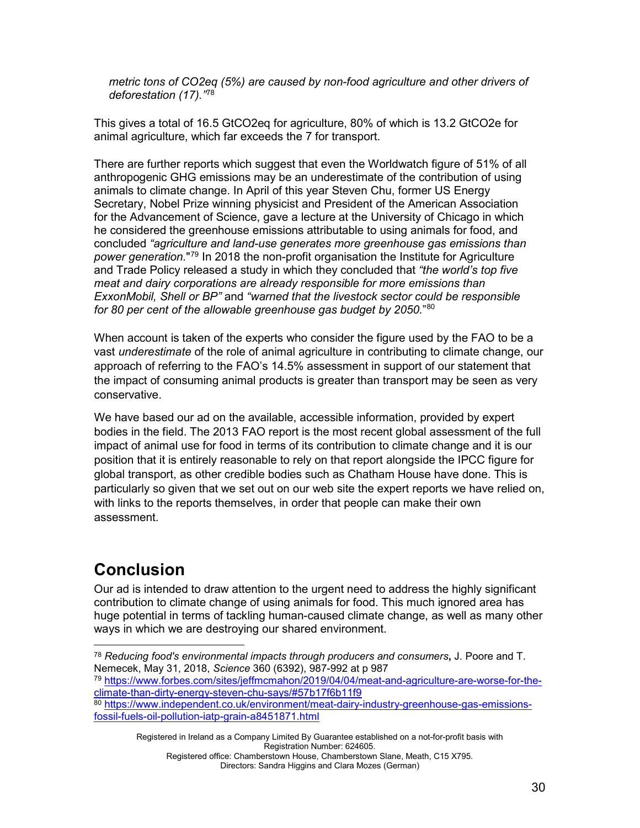*metric tons of CO2eq (5%) are caused by non-food agriculture and other drivers of deforestation (17)."*[78](#page-29-1)

This gives a total of 16.5 GtCO2eq for agriculture, 80% of which is 13.2 GtCO2e for animal agriculture, which far exceeds the 7 for transport.

There are further reports which suggest that even the Worldwatch figure of 51% of all anthropogenic GHG emissions may be an underestimate of the contribution of using animals to climate change. In April of this year Steven Chu, former US Energy Secretary, Nobel Prize winning physicist and President of the American Association for the Advancement of Science, gave a lecture at the University of Chicago in which he considered the greenhouse emissions attributable to using animals for food, and concluded *"agriculture and land-use generates more greenhouse gas emissions than power generation.*"[79](#page-29-2) In 2018 the non-profit organisation the Institute for Agriculture and Trade Policy released a study in which they concluded that *"the world's top five meat and dairy corporations are already responsible for more emissions than ExxonMobil, Shell or BP"* and *"warned that the livestock sector could be responsible for 80 per cent of the allowable greenhouse gas budget by 2050.*["80](#page-29-3)

When account is taken of the experts who consider the figure used by the FAO to be a vast *underestimate* of the role of animal agriculture in contributing to climate change, our approach of referring to the FAO's 14.5% assessment in support of our statement that the impact of consuming animal products is greater than transport may be seen as very conservative.

We have based our ad on the available, accessible information, provided by expert bodies in the field. The 2013 FAO report is the most recent global assessment of the full impact of animal use for food in terms of its contribution to climate change and it is our position that it is entirely reasonable to rely on that report alongside the IPCC figure for global transport, as other credible bodies such as Chatham House have done. This is particularly so given that we set out on our web site the expert reports we have relied on, with links to the reports themselves, in order that people can make their own assessment.

# <span id="page-29-0"></span>**Conclusion**

Our ad is intended to draw attention to the urgent need to address the highly significant contribution to climate change of using animals for food. This much ignored area has huge potential in terms of tackling human-caused climate change, as well as many other ways in which we are destroying our shared environment.

<span id="page-29-2"></span><sup>79</sup> [https://www.forbes.com/sites/jeffmcmahon/2019/04/04/meat-and-agriculture-are-worse-for-the](https://www.forbes.com/sites/jeffmcmahon/2019/04/04/meat-and-agriculture-are-worse-for-the-climate-than-dirty-energy-steven-chu-says/#57b17f6b11f9)[climate-than-dirty-energy-steven-chu-says/#57b17f6b11f9](https://www.forbes.com/sites/jeffmcmahon/2019/04/04/meat-and-agriculture-are-worse-for-the-climate-than-dirty-energy-steven-chu-says/#57b17f6b11f9)

Registered in Ireland as a Company Limited By Guarantee established on a not-for-profit basis with Registration Number: 624605.

<span id="page-29-1"></span><sup>78</sup> *Reducing food's environmental impacts through producers and consumers***,** J. Poore and T. Nemecek, May 31, 2018, *Science* 360 (6392), 987-992 at p 987

<span id="page-29-3"></span><sup>80</sup> [https://www.independent.co.uk/environment/meat-dairy-industry-greenhouse-gas-emissions](https://www.independent.co.uk/environment/meat-dairy-industry-greenhouse-gas-emissions-fossil-fuels-oil-pollution-iatp-grain-a8451871.html)[fossil-fuels-oil-pollution-iatp-grain-a8451871.html](https://www.independent.co.uk/environment/meat-dairy-industry-greenhouse-gas-emissions-fossil-fuels-oil-pollution-iatp-grain-a8451871.html)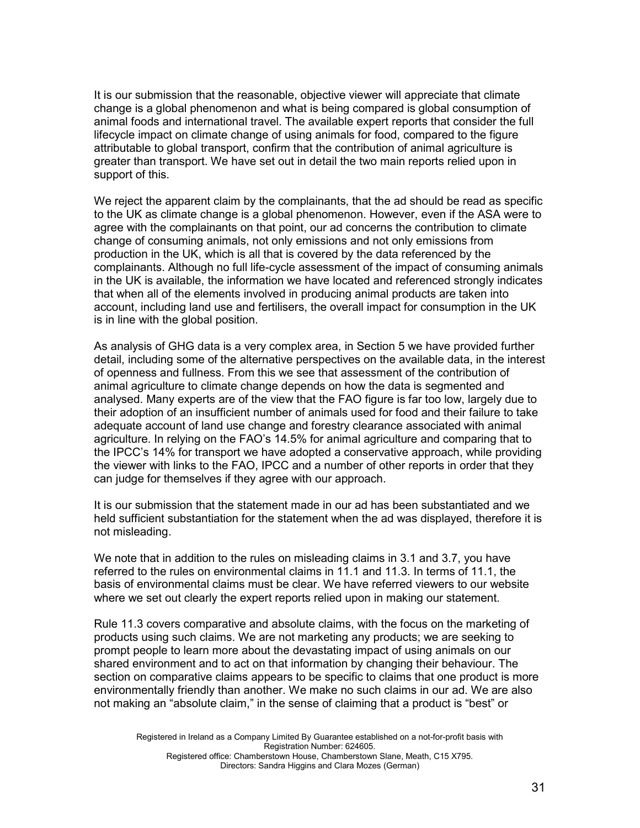It is our submission that the reasonable, objective viewer will appreciate that climate change is a global phenomenon and what is being compared is global consumption of animal foods and international travel. The available expert reports that consider the full lifecycle impact on climate change of using animals for food, compared to the figure attributable to global transport, confirm that the contribution of animal agriculture is greater than transport. We have set out in detail the two main reports relied upon in support of this.

We reject the apparent claim by the complainants, that the ad should be read as specific to the UK as climate change is a global phenomenon. However, even if the ASA were to agree with the complainants on that point, our ad concerns the contribution to climate change of consuming animals, not only emissions and not only emissions from production in the UK, which is all that is covered by the data referenced by the complainants. Although no full life-cycle assessment of the impact of consuming animals in the UK is available, the information we have located and referenced strongly indicates that when all of the elements involved in producing animal products are taken into account, including land use and fertilisers, the overall impact for consumption in the UK is in line with the global position.

As analysis of GHG data is a very complex area, in Section 5 we have provided further detail, including some of the alternative perspectives on the available data, in the interest of openness and fullness. From this we see that assessment of the contribution of animal agriculture to climate change depends on how the data is segmented and analysed. Many experts are of the view that the FAO figure is far too low, largely due to their adoption of an insufficient number of animals used for food and their failure to take adequate account of land use change and forestry clearance associated with animal agriculture. In relying on the FAO's 14.5% for animal agriculture and comparing that to the IPCC's 14% for transport we have adopted a conservative approach, while providing the viewer with links to the FAO, IPCC and a number of other reports in order that they can judge for themselves if they agree with our approach.

It is our submission that the statement made in our ad has been substantiated and we held sufficient substantiation for the statement when the ad was displayed, therefore it is not misleading.

We note that in addition to the rules on misleading claims in 3.1 and 3.7, you have referred to the rules on environmental claims in 11.1 and 11.3. In terms of 11.1, the basis of environmental claims must be clear. We have referred viewers to our website where we set out clearly the expert reports relied upon in making our statement.

Rule 11.3 covers comparative and absolute claims, with the focus on the marketing of products using such claims. We are not marketing any products; we are seeking to prompt people to learn more about the devastating impact of using animals on our shared environment and to act on that information by changing their behaviour. The section on comparative claims appears to be specific to claims that one product is more environmentally friendly than another. We make no such claims in our ad. We are also not making an "absolute claim," in the sense of claiming that a product is "best" or